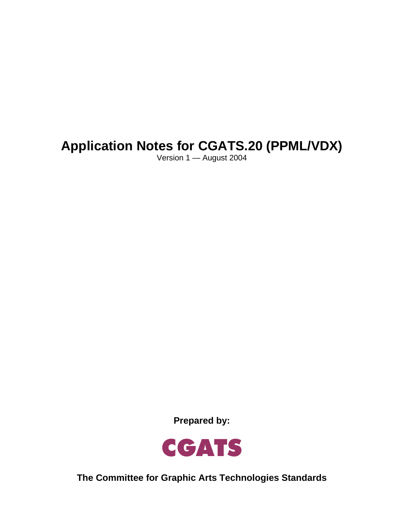# **Application Notes for CGATS.20 (PPML/VDX)**

Version 1 — August 2004

**Prepared by:** 



**The Committee for Graphic Arts Technologies Standards**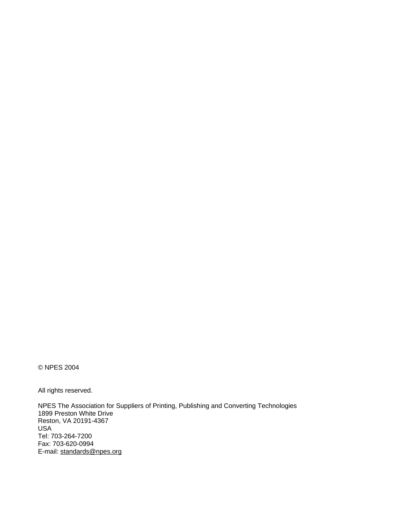© NPES 2004

All rights reserved.

NPES The Association for Suppliers of Printing, Publishing and Converting Technologies 1899 Preston White Drive Reston, VA 20191-4367 USA Tel: 703-264-7200 Fax: 703-620-0994 E-mail: standards@npes.org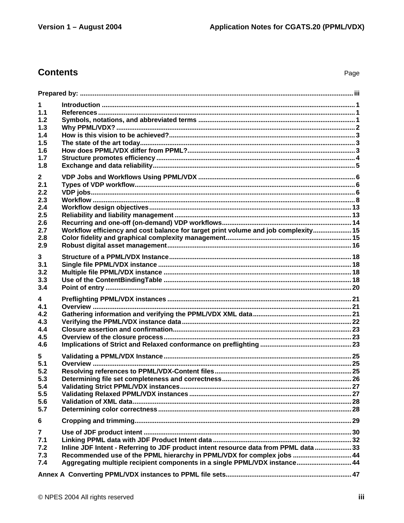Page

# **Contents**

| $\mathbf 1$             |                                                                                      |  |  |  |  |  |
|-------------------------|--------------------------------------------------------------------------------------|--|--|--|--|--|
| 1.1                     |                                                                                      |  |  |  |  |  |
| 1.2                     |                                                                                      |  |  |  |  |  |
| 1.3                     |                                                                                      |  |  |  |  |  |
| 1.4                     |                                                                                      |  |  |  |  |  |
| 1.5                     |                                                                                      |  |  |  |  |  |
| 1.6                     |                                                                                      |  |  |  |  |  |
| 1.7                     |                                                                                      |  |  |  |  |  |
| 1.8                     |                                                                                      |  |  |  |  |  |
| $\mathbf{2}$            |                                                                                      |  |  |  |  |  |
| 2.1                     |                                                                                      |  |  |  |  |  |
| 2.2                     |                                                                                      |  |  |  |  |  |
| 2.3                     |                                                                                      |  |  |  |  |  |
| 2.4<br>2.5              |                                                                                      |  |  |  |  |  |
| 2.6                     |                                                                                      |  |  |  |  |  |
| 2.7                     | Workflow efficiency and cost balance for target print volume and job complexity 15   |  |  |  |  |  |
| 2.8                     |                                                                                      |  |  |  |  |  |
| 2.9                     |                                                                                      |  |  |  |  |  |
|                         |                                                                                      |  |  |  |  |  |
| 3<br>3.1                |                                                                                      |  |  |  |  |  |
| 3.2                     |                                                                                      |  |  |  |  |  |
| 3.3                     |                                                                                      |  |  |  |  |  |
| 3.4                     |                                                                                      |  |  |  |  |  |
|                         |                                                                                      |  |  |  |  |  |
| 4<br>4.1                |                                                                                      |  |  |  |  |  |
| 4.2                     |                                                                                      |  |  |  |  |  |
| 4.3                     |                                                                                      |  |  |  |  |  |
| 4.4                     |                                                                                      |  |  |  |  |  |
| 4.5                     |                                                                                      |  |  |  |  |  |
| 4.6                     |                                                                                      |  |  |  |  |  |
| 5                       |                                                                                      |  |  |  |  |  |
| 5.1                     |                                                                                      |  |  |  |  |  |
| 5.2                     |                                                                                      |  |  |  |  |  |
| 5.3                     |                                                                                      |  |  |  |  |  |
| 5.4                     |                                                                                      |  |  |  |  |  |
| 5.5                     |                                                                                      |  |  |  |  |  |
| 5.6                     |                                                                                      |  |  |  |  |  |
| 5.7                     |                                                                                      |  |  |  |  |  |
| 6                       |                                                                                      |  |  |  |  |  |
| $\overline{\mathbf{r}}$ |                                                                                      |  |  |  |  |  |
| 7.1                     |                                                                                      |  |  |  |  |  |
| 7.2                     | Inline JDF Intent - Referring to JDF product intent resource data from PPML data  33 |  |  |  |  |  |
| 7.3                     | Recommended use of the PPML hierarchy in PPML/VDX for complex jobs  44               |  |  |  |  |  |
| 7.4                     | Aggregating multiple recipient components in a single PPML/VDX instance 44           |  |  |  |  |  |
|                         |                                                                                      |  |  |  |  |  |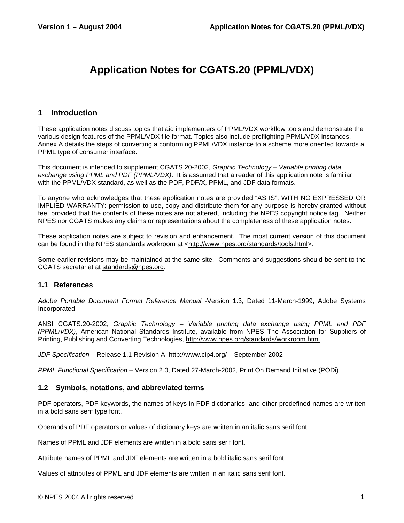# **Application Notes for CGATS.20 (PPML/VDX)**

### **1 Introduction**

These application notes discuss topics that aid implementers of PPML/VDX workflow tools and demonstrate the various design features of the PPML/VDX file format. Topics also include preflighting PPML/VDX instances. Annex A details the steps of converting a conforming PPML/VDX instance to a scheme more oriented towards a PPML type of consumer interface.

This document is intended to supplement CGATS.20-2002, *Graphic Technology – Variable printing data exchange using PPML and PDF (PPML/VDX)*. It is assumed that a reader of this application note is familiar with the PPML/VDX standard, as well as the PDF, PDF/X, PPML, and JDF data formats.

To anyone who acknowledges that these application notes are provided "AS IS", WITH NO EXPRESSED OR IMPLIED WARRANTY: permission to use, copy and distribute them for any purpose is hereby granted without fee, provided that the contents of these notes are not altered, including the NPES copyright notice tag. Neither NPES nor CGATS makes any claims or representations about the completeness of these application notes.

These application notes are subject to revision and enhancement. The most current version of this document can be found in the NPES standards workroom at <http://www.npes.org/standards/tools.html>.

Some earlier revisions may be maintained at the same site. Comments and suggestions should be sent to the CGATS secretariat at standards@npes.org.

### **1.1 References**

*Adobe Portable Document Format Reference Manual* -Version 1.3, Dated 11-March-1999, Adobe Systems Incorporated

ANSI CGATS.20-2002, *Graphic Technology – Variable printing data exchange using PPML and PDF (PPML/VDX)*, American National Standards Institute, available from NPES The Association for Suppliers of Printing, Publishing and Converting Technologies, http://www.npes.org/standards/workroom.html

*JDF Specification* – Release 1.1 Revision A, http://www.cip4.org/ – September 2002

*PPML Functional Specification* – Version 2.0, Dated 27-March-2002, Print On Demand Initiative (PODi)

#### **1.2 Symbols, notations, and abbreviated terms**

PDF operators, PDF keywords, the names of keys in PDF dictionaries, and other predefined names are written in a bold sans serif type font.

Operands of PDF operators or values of dictionary keys are written in an italic sans serif font.

Names of PPML and JDF elements are written in a bold sans serif font.

Attribute names of PPML and JDF elements are written in a bold italic sans serif font.

Values of attributes of PPML and JDF elements are written in an italic sans serif font.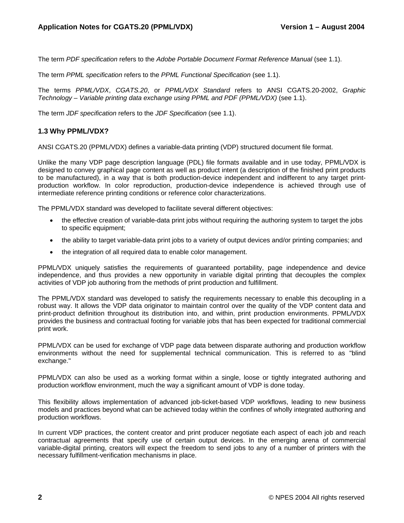The term *PDF specification* refers to the *Adobe Portable Document Format Reference Manual* (see 1.1).

The term *PPML specification* refers to the *PPML Functional Specification* (see 1.1).

The terms *PPML/VDX*, *CGATS.20*, or *PPML/VDX Standard* refers to ANSI CGATS.20-2002, *Graphic Technology – Variable printing data exchange using PPML and PDF (PPML/VDX)* (see 1.1).

The term *JDF specification* refers to the *JDF Specification* (see 1.1).

### **1.3 Why PPML/VDX?**

ANSI CGATS.20 (PPML/VDX) defines a variable-data printing (VDP) structured document file format.

Unlike the many VDP page description language (PDL) file formats available and in use today, PPML/VDX is designed to convey graphical page content as well as product intent (a description of the finished print products to be manufactured), in a way that is both production-device independent and indifferent to any target printproduction workflow. In color reproduction, production-device independence is achieved through use of intermediate reference printing conditions or reference color characterizations.

The PPML/VDX standard was developed to facilitate several different objectives:

- the effective creation of variable-data print jobs without requiring the authoring system to target the jobs to specific equipment;
- the ability to target variable-data print jobs to a variety of output devices and/or printing companies; and
- the integration of all required data to enable color management.

PPML/VDX uniquely satisfies the requirements of guaranteed portability, page independence and device independence, and thus provides a new opportunity in variable digital printing that decouples the complex activities of VDP job authoring from the methods of print production and fulfillment.

The PPML/VDX standard was developed to satisfy the requirements necessary to enable this decoupling in a robust way. It allows the VDP data originator to maintain control over the quality of the VDP content data and print-product definition throughout its distribution into, and within, print production environments. PPML/VDX provides the business and contractual footing for variable jobs that has been expected for traditional commercial print work.

PPML/VDX can be used for exchange of VDP page data between disparate authoring and production workflow environments without the need for supplemental technical communication. This is referred to as "blind exchange."

PPML/VDX can also be used as a working format within a single, loose or tightly integrated authoring and production workflow environment, much the way a significant amount of VDP is done today.

This flexibility allows implementation of advanced job-ticket-based VDP workflows, leading to new business models and practices beyond what can be achieved today within the confines of wholly integrated authoring and production workflows.

In current VDP practices, the content creator and print producer negotiate each aspect of each job and reach contractual agreements that specify use of certain output devices. In the emerging arena of commercial variable-digital printing, creators will expect the freedom to send jobs to any of a number of printers with the necessary fulfillment-verification mechanisms in place.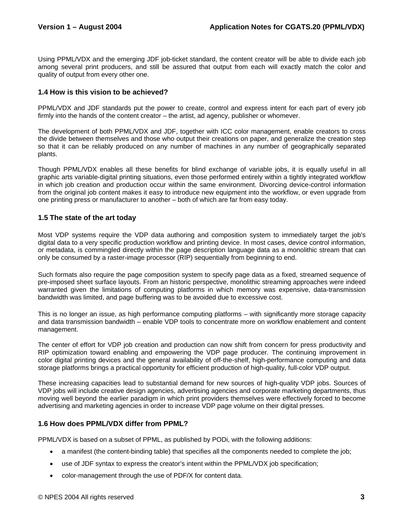Using PPML/VDX and the emerging JDF job-ticket standard, the content creator will be able to divide each job among several print producers, and still be assured that output from each will exactly match the color and quality of output from every other one.

### **1.4 How is this vision to be achieved?**

PPML/VDX and JDF standards put the power to create, control and express intent for each part of every job firmly into the hands of the content creator – the artist, ad agency, publisher or whomever.

The development of both PPML/VDX and JDF, together with ICC color management, enable creators to cross the divide between themselves and those who output their creations on paper, and generalize the creation step so that it can be reliably produced on any number of machines in any number of geographically separated plants.

Though PPML/VDX enables all these benefits for blind exchange of variable jobs, it is equally useful in all graphic arts variable-digital printing situations, even those performed entirely within a tightly integrated workflow in which job creation and production occur within the same environment. Divorcing device-control information from the original job content makes it easy to introduce new equipment into the workflow, or even upgrade from one printing press or manufacturer to another – both of which are far from easy today.

### **1.5 The state of the art today**

Most VDP systems require the VDP data authoring and composition system to immediately target the job's digital data to a very specific production workflow and printing device. In most cases, device control information, or metadata, is commingled directly within the page description language data as a monolithic stream that can only be consumed by a raster-image processor (RIP) sequentially from beginning to end.

Such formats also require the page composition system to specify page data as a fixed, streamed sequence of pre-imposed sheet surface layouts. From an historic perspective, monolithic streaming approaches were indeed warranted given the limitations of computing platforms in which memory was expensive, data-transmission bandwidth was limited, and page buffering was to be avoided due to excessive cost.

This is no longer an issue, as high performance computing platforms – with significantly more storage capacity and data transmission bandwidth – enable VDP tools to concentrate more on workflow enablement and content management.

The center of effort for VDP job creation and production can now shift from concern for press productivity and RIP optimization toward enabling and empowering the VDP page producer. The continuing improvement in color digital printing devices and the general availability of off-the-shelf, high-performance computing and data storage platforms brings a practical opportunity for efficient production of high-quality, full-color VDP output.

These increasing capacities lead to substantial demand for new sources of high-quality VDP jobs. Sources of VDP jobs will include creative design agencies, advertising agencies and corporate marketing departments, thus moving well beyond the earlier paradigm in which print providers themselves were effectively forced to become advertising and marketing agencies in order to increase VDP page volume on their digital presses.

### **1.6 How does PPML/VDX differ from PPML?**

PPML/VDX is based on a subset of PPML, as published by PODi, with the following additions:

- a manifest (the content-binding table) that specifies all the components needed to complete the job;
- use of JDF syntax to express the creator's intent within the PPML/VDX job specification;
- color-management through the use of PDF/X for content data.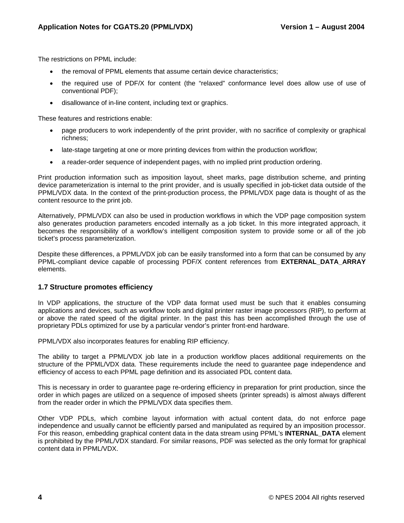The restrictions on PPML include:

- the removal of PPML elements that assume certain device characteristics;
- the required use of PDF/X for content (the "relaxed" conformance level does allow use of use of conventional PDF);
- disallowance of in-line content, including text or graphics.

These features and restrictions enable:

- page producers to work independently of the print provider, with no sacrifice of complexity or graphical richness;
- late-stage targeting at one or more printing devices from within the production workflow;
- a reader-order sequence of independent pages, with no implied print production ordering.

Print production information such as imposition layout, sheet marks, page distribution scheme, and printing device parameterization is internal to the print provider, and is usually specified in job-ticket data outside of the PPML/VDX data. In the context of the print-production process, the PPML/VDX page data is thought of as the content resource to the print job.

Alternatively, PPML/VDX can also be used in production workflows in which the VDP page composition system also generates production parameters encoded internally as a job ticket. In this more integrated approach, it becomes the responsibility of a workflow's intelligent composition system to provide some or all of the job ticket's process parameterization.

Despite these differences, a PPML/VDX job can be easily transformed into a form that can be consumed by any PPML-compliant device capable of processing PDF/X content references from **EXTERNAL\_DATA\_ARRAY**  elements.

### **1.7 Structure promotes efficiency**

In VDP applications, the structure of the VDP data format used must be such that it enables consuming applications and devices, such as workflow tools and digital printer raster image processors (RIP), to perform at or above the rated speed of the digital printer. In the past this has been accomplished through the use of proprietary PDLs optimized for use by a particular vendor's printer front-end hardware.

PPML/VDX also incorporates features for enabling RIP efficiency.

The ability to target a PPML/VDX job late in a production workflow places additional requirements on the structure of the PPML/VDX data. These requirements include the need to guarantee page independence and efficiency of access to each PPML page definition and its associated PDL content data.

This is necessary in order to guarantee page re-ordering efficiency in preparation for print production, since the order in which pages are utilized on a sequence of imposed sheets (printer spreads) is almost always different from the reader order in which the PPML/VDX data specifies them.

Other VDP PDLs, which combine layout information with actual content data, do not enforce page independence and usually cannot be efficiently parsed and manipulated as required by an imposition processor. For this reason, embedding graphical content data in the data stream using PPML's **INTERNAL\_DATA** element is prohibited by the PPML/VDX standard. For similar reasons, PDF was selected as the only format for graphical content data in PPML/VDX.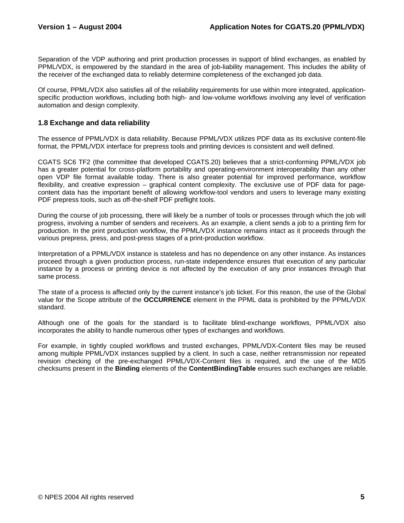Separation of the VDP authoring and print production processes in support of blind exchanges, as enabled by PPML/VDX, is empowered by the standard in the area of job-liability management. This includes the ability of the receiver of the exchanged data to reliably determine completeness of the exchanged job data.

Of course, PPML/VDX also satisfies all of the reliability requirements for use within more integrated, applicationspecific production workflows, including both high- and low-volume workflows involving any level of verification automation and design complexity.

### **1.8 Exchange and data reliability**

The essence of PPML/VDX is data reliability. Because PPML/VDX utilizes PDF data as its exclusive content-file format, the PPML/VDX interface for prepress tools and printing devices is consistent and well defined.

CGATS SC6 TF2 (the committee that developed CGATS.20) believes that a strict-conforming PPML/VDX job has a greater potential for cross-platform portability and operating-environment interoperability than any other open VDP file format available today. There is also greater potential for improved performance, workflow flexibility, and creative expression – graphical content complexity. The exclusive use of PDF data for pagecontent data has the important benefit of allowing workflow-tool vendors and users to leverage many existing PDF prepress tools, such as off-the-shelf PDF preflight tools.

During the course of job processing, there will likely be a number of tools or processes through which the job will progress, involving a number of senders and receivers. As an example, a client sends a job to a printing firm for production. In the print production workflow, the PPML/VDX instance remains intact as it proceeds through the various prepress, press, and post-press stages of a print-production workflow.

Interpretation of a PPML/VDX instance is stateless and has no dependence on any other instance. As instances proceed through a given production process, run-state independence ensures that execution of any particular instance by a process or printing device is not affected by the execution of any prior instances through that same process.

The state of a process is affected only by the current instance's job ticket. For this reason, the use of the Global value for the Scope attribute of the **OCCURRENCE** element in the PPML data is prohibited by the PPML/VDX standard.

Although one of the goals for the standard is to facilitate blind-exchange workflows, PPML/VDX also incorporates the ability to handle numerous other types of exchanges and workflows.

For example, in tightly coupled workflows and trusted exchanges, PPML/VDX-Content files may be reused among multiple PPML/VDX instances supplied by a client. In such a case, neither retransmission nor repeated revision checking of the pre-exchanged PPML/VDX-Content files is required, and the use of the MD5 checksums present in the **Binding** elements of the **ContentBindingTable** ensures such exchanges are reliable.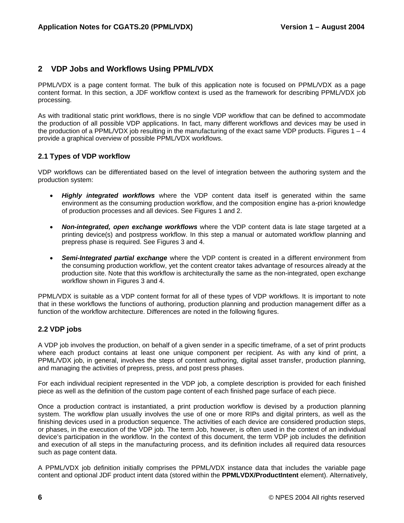### **2 VDP Jobs and Workflows Using PPML/VDX**

PPML/VDX is a page content format. The bulk of this application note is focused on PPML/VDX as a page content format. In this section, a JDF workflow context is used as the framework for describing PPML/VDX job processing.

As with traditional static print workflows, there is no single VDP workflow that can be defined to accommodate the production of all possible VDP applications. In fact, many different workflows and devices may be used in the production of a PPML/VDX job resulting in the manufacturing of the exact same VDP products. Figures  $1 - 4$ provide a graphical overview of possible PPML/VDX workflows.

### **2.1 Types of VDP workflow**

VDP workflows can be differentiated based on the level of integration between the authoring system and the production system:

- *Highly integrated workflows* where the VDP content data itself is generated within the same environment as the consuming production workflow, and the composition engine has a-priori knowledge of production processes and all devices. See Figures 1 and 2.
- *Non-integrated, open exchange workflows* where the VDP content data is late stage targeted at a printing device(s) and postpress workflow. In this step a manual or automated workflow planning and prepress phase is required. See Figures 3 and 4.
- *Semi-Integrated partial exchange* where the VDP content is created in a different environment from the consuming production workflow, yet the content creator takes advantage of resources already at the production site. Note that this workflow is architecturally the same as the non-integrated, open exchange workflow shown in Figures 3 and 4.

PPML/VDX is suitable as a VDP content format for all of these types of VDP workflows. It is important to note that in these workflows the functions of authoring, production planning and production management differ as a function of the workflow architecture. Differences are noted in the following figures.

### **2.2 VDP jobs**

A VDP job involves the production, on behalf of a given sender in a specific timeframe, of a set of print products where each product contains at least one unique component per recipient. As with any kind of print, a PPML/VDX job, in general, involves the steps of content authoring, digital asset transfer, production planning, and managing the activities of prepress, press, and post press phases.

For each individual recipient represented in the VDP job, a complete description is provided for each finished piece as well as the definition of the custom page content of each finished page surface of each piece.

Once a production contract is instantiated, a print production workflow is devised by a production planning system. The workflow plan usually involves the use of one or more RIPs and digital printers, as well as the finishing devices used in a production sequence. The activities of each device are considered production steps, or phases, in the execution of the VDP job. The term Job, however, is often used in the context of an individual device's participation in the workflow. In the context of this document, the term VDP job includes the definition and execution of all steps in the manufacturing process, and its definition includes all required data resources such as page content data.

A PPML/VDX job definition initially comprises the PPML/VDX instance data that includes the variable page content and optional JDF product intent data (stored within the **PPMLVDX/ProductIntent** element). Alternatively,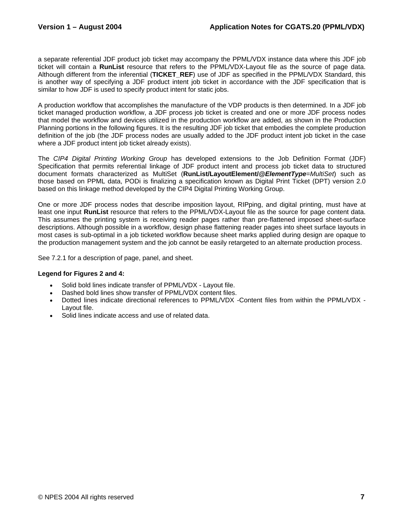a separate referential JDF product job ticket may accompany the PPML/VDX instance data where this JDF job ticket will contain a **RunList** resource that refers to the PPML/VDX-Layout file as the source of page data. Although different from the inferential (**TICKET\_REF**) use of JDF as specified in the PPML/VDX Standard, this is another way of specifying a JDF product intent job ticket in accordance with the JDF specification that is similar to how JDF is used to specify product intent for static jobs.

A production workflow that accomplishes the manufacture of the VDP products is then determined. In a JDF job ticket managed production workflow, a JDF process job ticket is created and one or more JDF process nodes that model the workflow and devices utilized in the production workflow are added, as shown in the Production Planning portions in the following figures. It is the resulting JDF job ticket that embodies the complete production definition of the job (the JDF process nodes are usually added to the JDF product intent job ticket in the case where a JDF product intent job ticket already exists).

The *CIP4 Digital Printing Working Group* has developed extensions to the Job Definition Format (JDF) Specification that permits referential linkage of JDF product intent and process job ticket data to structured document formats characterized as MultiSet (**RunList/LayoutElement/@***ElementType*=*MultiSet*) such as those based on PPML data, PODi is finalizing a specification known as Digital Print Ticket (DPT) version 2.0 based on this linkage method developed by the CIP4 Digital Printing Working Group.

One or more JDF process nodes that describe imposition layout, RIPping, and digital printing, must have at least one input **RunList** resource that refers to the PPML/VDX-Layout file as the source for page content data. This assumes the printing system is receiving reader pages rather than pre-flattened imposed sheet-surface descriptions. Although possible in a workflow, design phase flattening reader pages into sheet surface layouts in most cases is sub-optimal in a job ticketed workflow because sheet marks applied during design are opaque to the production management system and the job cannot be easily retargeted to an alternate production process.

See 7.2.1 for a description of page, panel, and sheet.

### **Legend for Figures 2 and 4:**

- Solid bold lines indicate transfer of PPML/VDX Layout file.
- Dashed bold lines show transfer of PPML/VDX content files.
- Dotted lines indicate directional references to PPML/VDX -Content files from within the PPML/VDX Layout file.
- Solid lines indicate access and use of related data.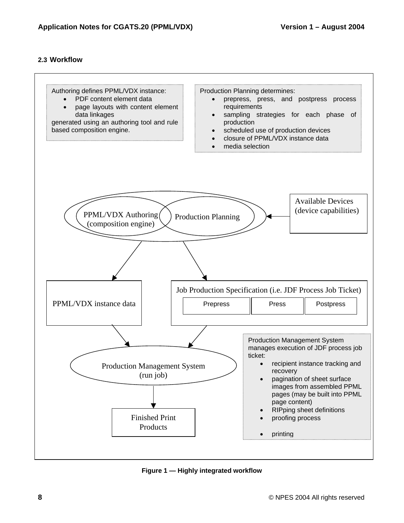### **2.3 Workflow**



**Figure 1 — Highly integrated workflow**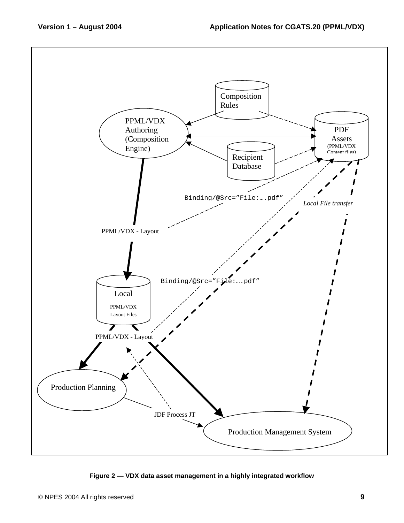

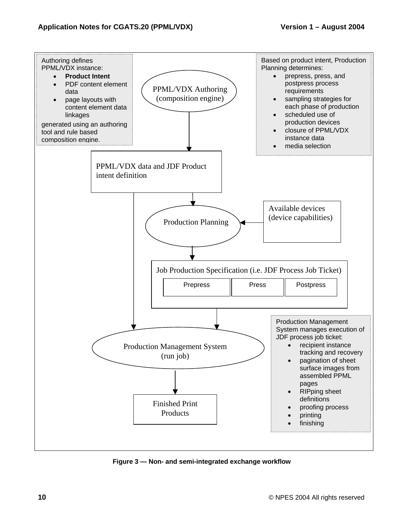

**Figure 3 — Non- and semi-integrated exchange workflow**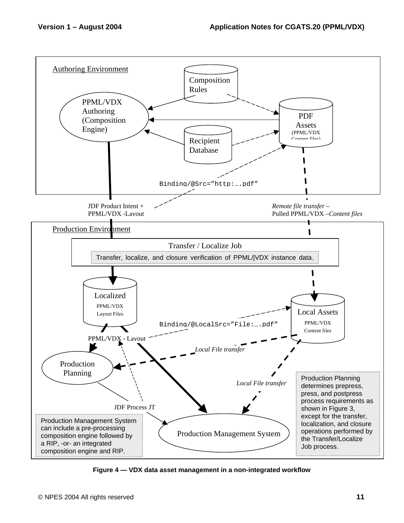

**Figure 4 — VDX data asset management in a non-integrated workflow**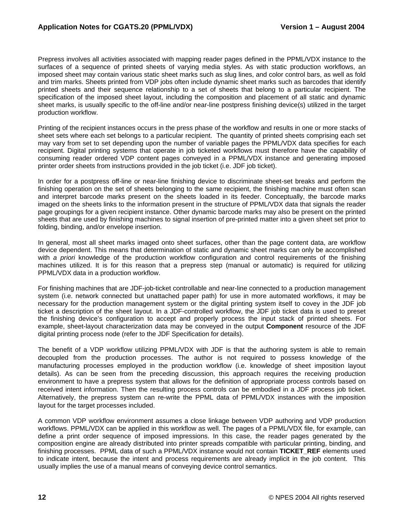Prepress involves all activities associated with mapping reader pages defined in the PPML/VDX instance to the surfaces of a sequence of printed sheets of varying media styles. As with static production workflows, an imposed sheet may contain various static sheet marks such as slug lines, and color control bars, as well as fold and trim marks. Sheets printed from VDP jobs often include dynamic sheet marks such as barcodes that identify printed sheets and their sequence relationship to a set of sheets that belong to a particular recipient. The specification of the imposed sheet layout, including the composition and placement of all static and dynamic sheet marks, is usually specific to the off-line and/or near-line postpress finishing device(s) utilized in the target production workflow.

Printing of the recipient instances occurs in the press phase of the workflow and results in one or more stacks of sheet sets where each set belongs to a particular recipient. The quantity of printed sheets comprising each set may vary from set to set depending upon the number of variable pages the PPML/VDX data specifies for each recipient. Digital printing systems that operate in job ticketed workflows must therefore have the capability of consuming reader ordered VDP content pages conveyed in a PPML/VDX instance and generating imposed printer order sheets from instructions provided in the job ticket (i.e. JDF job ticket).

In order for a postpress off-line or near-line finishing device to discriminate sheet-set breaks and perform the finishing operation on the set of sheets belonging to the same recipient, the finishing machine must often scan and interpret barcode marks present on the sheets loaded in its feeder. Conceptually, the barcode marks imaged on the sheets links to the information present in the structure of PPML/VDX data that signals the reader page groupings for a given recipient instance. Other dynamic barcode marks may also be present on the printed sheets that are used by finishing machines to signal insertion of pre-printed matter into a given sheet set prior to folding, binding, and/or envelope insertion.

In general, most all sheet marks imaged onto sheet surfaces, other than the page content data, are workflow device dependent. This means that determination of static and dynamic sheet marks can only be accomplished with *a priori* knowledge of the production workflow configuration and control requirements of the finishing machines utilized. It is for this reason that a prepress step (manual or automatic) is required for utilizing PPML/VDX data in a production workflow.

For finishing machines that are JDF-job-ticket controllable and near-line connected to a production management system (i.e. network connected but unattached paper path) for use in more automated workflows, it may be necessary for the production management system or the digital printing system itself to covey in the JDF job ticket a description of the sheet layout. In a JDF-controlled workflow, the JDF job ticket data is used to preset the finishing device's configuration to accept and properly process the input stack of printed sheets. For example, sheet-layout characterization data may be conveyed in the output **Component** resource of the JDF digital printing process node (refer to the JDF Specification for details).

The benefit of a VDP workflow utilizing PPML/VDX with JDF is that the authoring system is able to remain decoupled from the production processes. The author is not required to possess knowledge of the manufacturing processes employed in the production workflow (i.e. knowledge of sheet imposition layout details). As can be seen from the preceding discussion, this approach requires the receiving production environment to have a prepress system that allows for the definition of appropriate process controls based on received intent information. Then the resulting process controls can be embodied in a JDF process job ticket. Alternatively, the prepress system can re-write the PPML data of PPML/VDX instances with the imposition layout for the target processes included.

A common VDP workflow environment assumes a close linkage between VDP authoring and VDP production workflows. PPML/VDX can be applied in this workflow as well. The pages of a PPML/VDX file, for example, can define a print order sequence of imposed impressions. In this case, the reader pages generated by the composition engine are already distributed into printer spreads compatible with particular printing, binding, and finishing processes. PPML data of such a PPML/VDX instance would not contain **TICKET\_REF** elements used to indicate intent, because the intent and process requirements are already implicit in the job content. This usually implies the use of a manual means of conveying device control semantics.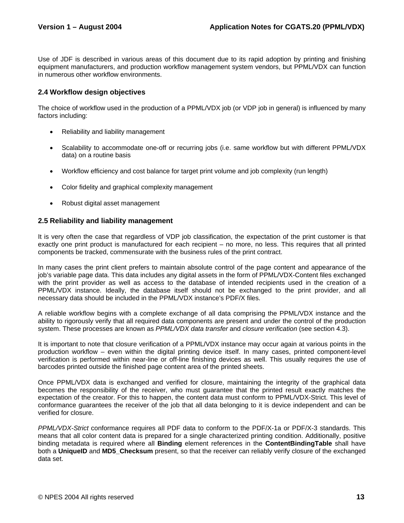Use of JDF is described in various areas of this document due to its rapid adoption by printing and finishing equipment manufacturers, and production workflow management system vendors, but PPML/VDX can function in numerous other workflow environments.

### **2.4 Workflow design objectives**

The choice of workflow used in the production of a PPML/VDX job (or VDP job in general) is influenced by many factors including:

- Reliability and liability management
- Scalability to accommodate one-off or recurring jobs (i.e. same workflow but with different PPML/VDX data) on a routine basis
- Workflow efficiency and cost balance for target print volume and job complexity (run length)
- Color fidelity and graphical complexity management
- Robust digital asset management

### **2.5 Reliability and liability management**

It is very often the case that regardless of VDP job classification, the expectation of the print customer is that exactly one print product is manufactured for each recipient – no more, no less. This requires that all printed components be tracked, commensurate with the business rules of the print contract.

In many cases the print client prefers to maintain absolute control of the page content and appearance of the job's variable page data. This data includes any digital assets in the form of PPML/VDX-Content files exchanged with the print provider as well as access to the database of intended recipients used in the creation of a PPML/VDX instance. Ideally, the database itself should not be exchanged to the print provider, and all necessary data should be included in the PPML/VDX instance's PDF/X files.

A reliable workflow begins with a complete exchange of all data comprising the PPML/VDX instance and the ability to rigorously verify that all required data components are present and under the control of the production system. These processes are known as *PPML/VDX data transfer* and *closure verification* (see section 4.3).

It is important to note that closure verification of a PPML/VDX instance may occur again at various points in the production workflow – even within the digital printing device itself. In many cases, printed component-level verification is performed within near-line or off-line finishing devices as well. This usually requires the use of barcodes printed outside the finished page content area of the printed sheets.

Once PPML/VDX data is exchanged and verified for closure, maintaining the integrity of the graphical data becomes the responsibility of the receiver, who must guarantee that the printed result exactly matches the expectation of the creator. For this to happen, the content data must conform to PPML/VDX-Strict. This level of conformance guarantees the receiver of the job that all data belonging to it is device independent and can be verified for closure.

*PPML/VDX-Strict* conformance requires all PDF data to conform to the PDF/X-1a or PDF/X-3 standards. This means that all color content data is prepared for a single characterized printing condition. Additionally, positive binding metadata is required where all **Binding** element references in the **ContentBindingTable** shall have both a **UniqueID** and **MD5\_Checksum** present, so that the receiver can reliably verify closure of the exchanged data set.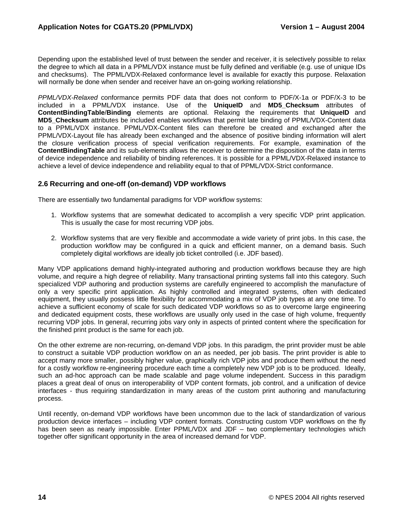Depending upon the established level of trust between the sender and receiver, it is selectively possible to relax the degree to which all data in a PPML/VDX instance must be fully defined and verifiable (e.g. use of unique IDs and checksums). The PPML/VDX-Relaxed conformance level is available for exactly this purpose. Relaxation will normally be done when sender and receiver have an on-going working relationship.

*PPML/VDX-Relaxed* conformance permits PDF data that does not conform to PDF/X-1a or PDF/X-3 to be included in a PPML/VDX instance. Use of the **UniqueID** and **MD5\_Checksum** attributes of **ContentBindingTable**/**Binding** elements are optional. Relaxing the requirements that **UniqueID** and **MD5\_Checksum** attributes be included enables workflows that permit late binding of PPML/VDX-Content data to a PPML/VDX instance. PPML/VDX-Content files can therefore be created and exchanged after the PPML/VDX-Layout file has already been exchanged and the absence of positive binding information will alert the closure verification process of special verification requirements. For example, examination of the **ContentBindingTable** and its sub-elements allows the receiver to determine the disposition of the data in terms of device independence and reliability of binding references. It is possible for a PPML/VDX-Relaxed instance to achieve a level of device independence and reliability equal to that of PPML/VDX-Strict conformance.

### **2.6 Recurring and one-off (on-demand) VDP workflows**

There are essentially two fundamental paradigms for VDP workflow systems:

- 1. Workflow systems that are somewhat dedicated to accomplish a very specific VDP print application. This is usually the case for most recurring VDP jobs.
- 2. Workflow systems that are very flexible and accommodate a wide variety of print jobs. In this case, the production workflow may be configured in a quick and efficient manner, on a demand basis. Such completely digital workflows are ideally job ticket controlled (i.e. JDF based).

Many VDP applications demand highly-integrated authoring and production workflows because they are high volume, and require a high degree of reliability. Many transactional printing systems fall into this category. Such specialized VDP authoring and production systems are carefully engineered to accomplish the manufacture of only a very specific print application. As highly controlled and integrated systems, often with dedicated equipment, they usually possess little flexibility for accommodating a mix of VDP job types at any one time. To achieve a sufficient economy of scale for such dedicated VDP workflows so as to overcome large engineering and dedicated equipment costs, these workflows are usually only used in the case of high volume, frequently recurring VDP jobs. In general, recurring jobs vary only in aspects of printed content where the specification for the finished print product is the same for each job.

On the other extreme are non-recurring, on-demand VDP jobs. In this paradigm, the print provider must be able to construct a suitable VDP production workflow on an as needed, per job basis. The print provider is able to accept many more smaller, possibly higher value, graphically rich VDP jobs and produce them without the need for a costly workflow re-engineering procedure each time a completely new VDP job is to be produced. Ideally, such an ad-hoc approach can be made scalable and page volume independent. Success in this paradigm places a great deal of onus on interoperability of VDP content formats, job control, and a unification of device interfaces - thus requiring standardization in many areas of the custom print authoring and manufacturing process.

Until recently, on-demand VDP workflows have been uncommon due to the lack of standardization of various production device interfaces – including VDP content formats. Constructing custom VDP workflows on the fly has been seen as nearly impossible. Enter PPML/VDX and JDF – two complementary technologies which together offer significant opportunity in the area of increased demand for VDP.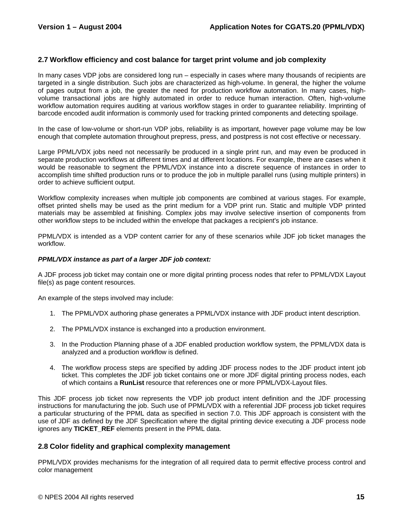### **2.7 Workflow efficiency and cost balance for target print volume and job complexity**

In many cases VDP jobs are considered long run – especially in cases where many thousands of recipients are targeted in a single distribution. Such jobs are characterized as high-volume. In general, the higher the volume of pages output from a job, the greater the need for production workflow automation. In many cases, highvolume transactional jobs are highly automated in order to reduce human interaction. Often, high-volume workflow automation requires auditing at various workflow stages in order to guarantee reliability. Imprinting of barcode encoded audit information is commonly used for tracking printed components and detecting spoilage.

In the case of low-volume or short-run VDP jobs, reliability is as important, however page volume may be low enough that complete automation throughout prepress, press, and postpress is not cost effective or necessary.

Large PPML/VDX jobs need not necessarily be produced in a single print run, and may even be produced in separate production workflows at different times and at different locations. For example, there are cases when it would be reasonable to segment the PPML/VDX instance into a discrete sequence of instances in order to accomplish time shifted production runs or to produce the job in multiple parallel runs (using multiple printers) in order to achieve sufficient output.

Workflow complexity increases when multiple job components are combined at various stages. For example, offset printed shells may be used as the print medium for a VDP print run. Static and multiple VDP printed materials may be assembled at finishing. Complex jobs may involve selective insertion of components from other workflow steps to be included within the envelope that packages a recipient's job instance.

PPML/VDX is intended as a VDP content carrier for any of these scenarios while JDF job ticket manages the workflow.

#### *PPML/VDX instance as part of a larger JDF job context:*

A JDF process job ticket may contain one or more digital printing process nodes that refer to PPML/VDX Layout file(s) as page content resources.

An example of the steps involved may include:

- 1. The PPML/VDX authoring phase generates a PPML/VDX instance with JDF product intent description.
- 2. The PPML/VDX instance is exchanged into a production environment.
- 3. In the Production Planning phase of a JDF enabled production workflow system, the PPML/VDX data is analyzed and a production workflow is defined.
- 4. The workflow process steps are specified by adding JDF process nodes to the JDF product intent job ticket. This completes the JDF job ticket contains one or more JDF digital printing process nodes, each of which contains a **RunList** resource that references one or more PPML/VDX-Layout files.

This JDF process job ticket now represents the VDP job product intent definition and the JDF processing instructions for manufacturing the job. Such use of PPML/VDX with a referential JDF process job ticket requires a particular structuring of the PPML data as specified in section 7.0. This JDF approach is consistent with the use of JDF as defined by the JDF Specification where the digital printing device executing a JDF process node ignores any **TICKET** REF elements present in the PPML data.

### **2.8 Color fidelity and graphical complexity management**

PPML/VDX provides mechanisms for the integration of all required data to permit effective process control and color management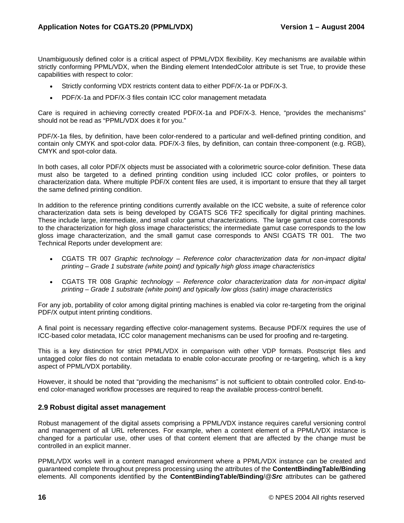Unambiguously defined color is a critical aspect of PPML/VDX flexibility. Key mechanisms are available within strictly conforming PPML/VDX, when the Binding element IntendedColor attribute is set True, to provide these capabilities with respect to color:

- Strictly conforming VDX restricts content data to either PDF/X-1a or PDF/X-3.
- PDF/X-1a and PDF/X-3 files contain ICC color management metadata

Care is required in achieving correctly created PDF/X-1a and PDF/X-3. Hence, "provides the mechanisms" should not be read as "PPML/VDX does it for you."

PDF/X-1a files, by definition, have been color-rendered to a particular and well-defined printing condition, and contain only CMYK and spot-color data. PDF/X-3 files, by definition, can contain three-component (e.g. RGB), CMYK and spot-color data.

In both cases, all color PDF/X objects must be associated with a colorimetric source-color definition. These data must also be targeted to a defined printing condition using included ICC color profiles, or pointers to characterization data. Where multiple PDF/X content files are used, it is important to ensure that they all target the same defined printing condition.

In addition to the reference printing conditions currently available on the ICC website, a suite of reference color characterization data sets is being developed by CGATS SC6 TF2 specifically for digital printing machines. These include large, intermediate, and small color gamut characterizations. The large gamut case corresponds to the characterization for high gloss image characteristics; the intermediate gamut case corresponds to the low gloss image characterization, and the small gamut case corresponds to ANSI CGATS TR 001. The two Technical Reports under development are:

- CGATS TR 007 *Graphic technology Reference color characterization data for non-impact digital printing – Grade 1 substrate (white point) and typically high gloss image characteristics*
- CGATS TR 008 G*raphic technology Reference color characterization data for non-impact digital printing – Grade 1 substrate (white point) and typically low gloss (satin) image characteristics*

For any job, portability of color among digital printing machines is enabled via color re-targeting from the original PDF/X output intent printing conditions.

A final point is necessary regarding effective color-management systems. Because PDF/X requires the use of ICC-based color metadata, ICC color management mechanisms can be used for proofing and re-targeting.

This is a key distinction for strict PPML/VDX in comparison with other VDP formats. Postscript files and untagged color files do not contain metadata to enable color-accurate proofing or re-targeting, which is a key aspect of PPML/VDX portability.

However, it should be noted that "providing the mechanisms" is not sufficient to obtain controlled color. End-toend color-managed workflow processes are required to reap the available process-control benefit.

### **2.9 Robust digital asset management**

Robust management of the digital assets comprising a PPML/VDX instance requires careful versioning control and management of all URL references. For example, when a content element of a PPML/VDX instance is changed for a particular use, other uses of that content element that are affected by the change must be controlled in an explicit manner.

PPML/VDX works well in a content managed environment where a PPML/VDX instance can be created and guaranteed complete throughout prepress processing using the attributes of the **ContentBindingTable/Binding** elements. All components identified by the **ContentBindingTable/Binding**/@*Src* attributes can be gathered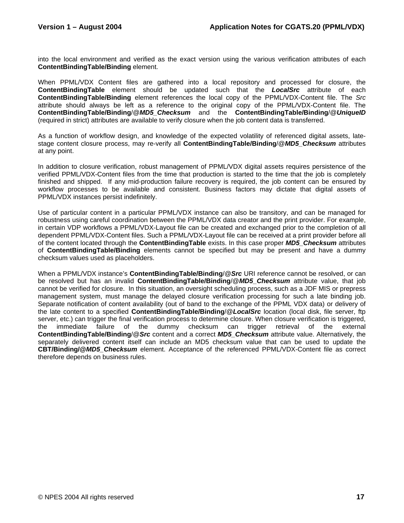into the local environment and verified as the exact version using the various verification attributes of each **ContentBindingTable/Binding** element.

When PPML/VDX Content files are gathered into a local repository and processed for closure, the **ContentBindingTable** element should be updated such that the *LocalSrc* attribute of each **ContentBindingTable/Binding** element references the local copy of the PPML/VDX-Content file. The *Src* attribute should always be left as a reference to the original copy of the PPML/VDX-Content file. The **ContentBindingTable/Binding**/@*MD5\_Checksum* and the **ContentBindingTable/Binding**/@*UniqueID* (required in strict) attributes are available to verify closure when the job content data is transferred.

As a function of workflow design, and knowledge of the expected volatility of referenced digital assets, latestage content closure process, may re-verify all **ContentBindingTable/Binding**/@*MD5\_Checksum* attributes at any point.

In addition to closure verification, robust management of PPML/VDX digital assets requires persistence of the verified PPML/VDX-Content files from the time that production is started to the time that the job is completely finished and shipped. If any mid-production failure recovery is required, the job content can be ensured by workflow processes to be available and consistent. Business factors may dictate that digital assets of PPML/VDX instances persist indefinitely.

Use of particular content in a particular PPML/VDX instance can also be transitory, and can be managed for robustness using careful coordination between the PPML/VDX data creator and the print provider. For example, in certain VDP workflows a PPML/VDX-Layout file can be created and exchanged prior to the completion of all dependent PPML/VDX-Content files. Such a PPML/VDX-Layout file can be received at a print provider before all of the content located through the **ContentBindingTable** exists. In this case proper *MD5\_Checksum* attributes of **ContentBindingTable/Binding** elements cannot be specified but may be present and have a dummy checksum values used as placeholders.

When a PPML/VDX instance's **ContentBindingTable/Binding**/@*Src* URI reference cannot be resolved, or can be resolved but has an invalid **ContentBindingTable/Binding**/@*MD5\_Checksum* attribute value, that job cannot be verified for closure. In this situation, an oversight scheduling process, such as a JDF MIS or prepress management system, must manage the delayed closure verification processing for such a late binding job. Separate notification of content availability (out of band to the exchange of the PPML VDX data) or delivery of the late content to a specified **ContentBindingTable/Binding**/@*LocalSrc* location (local disk, file server, ftp server, etc.) can trigger the final verification process to determine closure. When closure verification is triggered, the immediate failure of the dummy checksum can trigger retrieval of the external **ContentBindingTable/Binding**/@*Src* content and a correct *MD5\_Checksum* attribute value. Alternatively, the separately delivered content itself can include an MD5 checksum value that can be used to update the **CBT/Binding/@***MD5\_Checksum* element. Acceptance of the referenced PPML/VDX-Content file as correct therefore depends on business rules.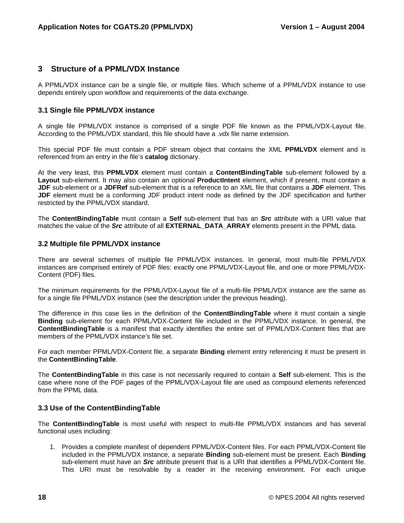### **3 Structure of a PPML/VDX Instance**

A PPML/VDX instance can be a single file, or multiple files. Which scheme of a PPML/VDX instance to use depends entirely upon workflow and requirements of the data exchange.

### **3.1 Single file PPML/VDX instance**

A single file PPML/VDX instance is comprised of a single PDF file known as the PPML/VDX-Layout file. According to the PPML/VDX standard, this file should have a .*vdx* file name extension.

This special PDF file must contain a PDF stream object that contains the XML **PPMLVDX** element and is referenced from an entry in the file's **catalog** dictionary.

At the very least, this **PPMLVDX** element must contain a **ContentBindingTable** sub-element followed by a **Layout** sub-element. It may also contain an optional **ProductIntent** element, which if present, must contain a **JDF** sub-element or a **JDFRef** sub-element that is a reference to an XML file that contains a **JDF** element. This **JDF** element must be a conforming JDF product intent node as defined by the JDF specification and further restricted by the PPML/VDX standard.

The **ContentBindingTable** must contain a **Self** sub-element that has an *Src* attribute with a URI value that matches the value of the *Src* attribute of all **EXTERNAL\_DATA\_ARRAY** elements present in the PPML data.

### **3.2 Multiple file PPML/VDX instance**

There are several schemes of multiple file PPML/VDX instances. In general, most multi-file PPML/VDX instances are comprised entirely of PDF files: exactly one PPML/VDX-Layout file, and one or more PPML/VDX-Content (PDF) files.

The minimum requirements for the PPML/VDX-Layout file of a multi-file PPML/VDX instance are the same as for a single file PPML/VDX instance (see the description under the previous heading).

The difference in this case lies in the definition of the **ContentBindingTable** where it must contain a single **Binding** sub-element for each PPML/VDX-Content file included in the PPML/VDX instance. In general, the **ContentBindingTable** is a manifest that exactly identifies the entire set of PPML/VDX-Content files that are members of the PPML/VDX instance's file set.

For each member PPML/VDX-Content file, a separate **Binding** element entry referencing it must be present in the **ContentBindingTable**.

The **ContentBindingTable** in this case is not necessarily required to contain a **Self** sub-element. This is the case where none of the PDF pages of the PPML/VDX-Layout file are used as compound elements referenced from the PPML data.

### **3.3 Use of the ContentBindingTable**

The **ContentBindingTable** is most useful with respect to multi-file PPML/VDX instances and has several functional uses including:

1. Provides a complete manifest of dependent PPML/VDX-Content files. For each PPML/VDX-Content file included in the PPML/VDX instance, a separate **Binding** sub-element must be present. Each **Binding** sub-element must have an *Src* attribute present that is a URI that identifies a PPML/VDX-Content file. This URI must be resolvable by a reader in the receiving environment. For each unique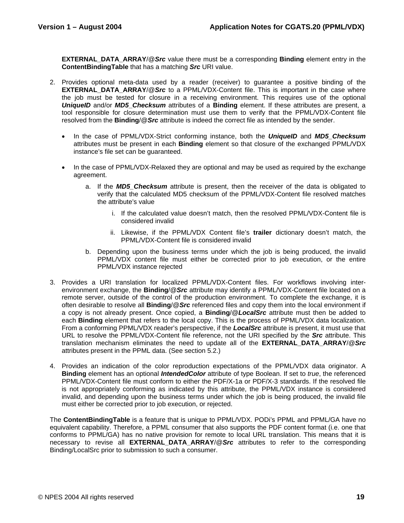**EXTERNAL\_DATA\_ARRAY**/@*Src* value there must be a corresponding **Binding** element entry in the **ContentBindingTable** that has a matching *Src* URI value.

- 2. Provides optional meta-data used by a reader (receiver) to guarantee a positive binding of the **EXTERNAL DATA ARRAY/@ Src** to a PPML/VDX-Content file. This is important in the case where the job must be tested for closure in a receiving environment. This requires use of the optional *UniqueID* and/or *MD5***\_***Checksum* attributes of a **Binding** element. If these attributes are present, a tool responsible for closure determination must use them to verify that the PPML/VDX-Content file resolved from the **Binding**/@*Src* attribute is indeed the correct file as intended by the sender.
	- In the case of PPML/VDX-Strict conforming instance, both the *UniqueID* and *MD5\_Checksum* attributes must be present in each **Binding** element so that closure of the exchanged PPML/VDX instance's file set can be guaranteed.
	- In the case of PPML/VDX-Relaxed they are optional and may be used as required by the exchange agreement.
		- a. If the *MD5\_Checksum* attribute is present, then the receiver of the data is obligated to verify that the calculated MD5 checksum of the PPML/VDX-Content file resolved matches the attribute's value
			- i. If the calculated value doesn't match, then the resolved PPML/VDX-Content file is considered invalid
			- ii. Likewise, if the PPML/VDX Content file's **trailer** dictionary doesn't match, the PPML/VDX-Content file is considered invalid
		- b. Depending upon the business terms under which the job is being produced, the invalid PPML/VDX content file must either be corrected prior to job execution, or the entire PPML/VDX instance rejected
- 3. Provides a URI translation for localized PPML/VDX-Content files. For workflows involving interenvironment exchange, the **Binding**/@*Src* attribute may identify a PPML/VDX-Content file located on a remote server, outside of the control of the production environment. To complete the exchange, it is often desirable to resolve all **Binding**/@*Src* referenced files and copy them into the local environment if a copy is not already present. Once copied, a **Binding**/@*LocalSrc* attribute must then be added to each **Binding** element that refers to the local copy. This is the process of PPML/VDX data localization. From a conforming PPML/VDX reader's perspective, if the *LocalSrc* attribute is present, it must use that URL to resolve the PPML/VDX-Content file reference, not the URI specified by the *Src* attribute. This translation mechanism eliminates the need to update all of the **EXTERNAL\_DATA\_ARRAY**/@*Src* attributes present in the PPML data. (See section 5.2.)
- 4. Provides an indication of the color reproduction expectations of the PPML/VDX data originator. A **Binding** element has an optional *IntendedColor* attribute of type Boolean. If set to *true*, the referenced PPML/VDX-Content file must conform to either the PDF/X-1a or PDF/X-3 standards. If the resolved file is not appropriately conforming as indicated by this attribute, the PPML/VDX instance is considered invalid, and depending upon the business terms under which the job is being produced, the invalid file must either be corrected prior to job execution, or rejected.

The **ContentBindingTable** is a feature that is unique to PPML/VDX. PODi's PPML and PPML/GA have no equivalent capability. Therefore, a PPML consumer that also supports the PDF content format (i.e. one that conforms to PPML/GA) has no native provision for remote to local URL translation. This means that it is necessary to revise all **EXTERNAL\_DATA\_ARRAY**/@*Src* attributes to refer to the corresponding Binding/LocalSrc prior to submission to such a consumer.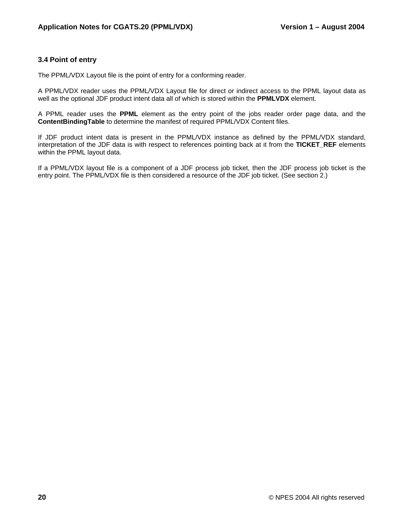### **3.4 Point of entry**

The PPML/VDX Layout file is the point of entry for a conforming reader.

A PPML/VDX reader uses the PPML/VDX Layout file for direct or indirect access to the PPML layout data as well as the optional JDF product intent data all of which is stored within the **PPMLVDX** element.

A PPML reader uses the **PPML** element as the entry point of the jobs reader order page data, and the **ContentBindingTable** to determine the manifest of required PPML/VDX Content files.

If JDF product intent data is present in the PPML/VDX instance as defined by the PPML/VDX standard, interpretation of the JDF data is with respect to references pointing back at it from the **TICKET\_REF** elements within the PPML layout data.

If a PPML/VDX layout file is a component of a JDF process job ticket, then the JDF process job ticket is the entry point. The PPML/VDX file is then considered a resource of the JDF job ticket. (See section 2.)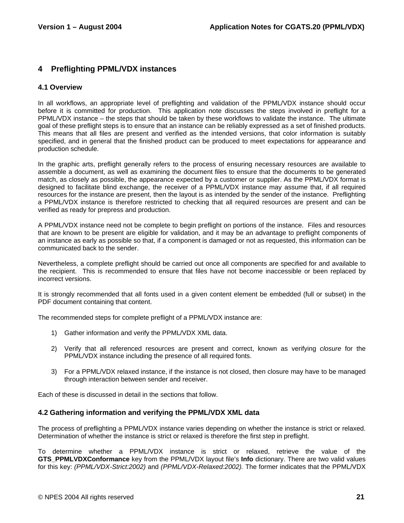### **4 Preflighting PPML/VDX instances**

### **4.1 Overview**

In all workflows, an appropriate level of preflighting and validation of the PPML/VDX instance should occur before it is committed for production. This application note discusses the steps involved in preflight for a PPML/VDX instance – the steps that should be taken by these workflows to validate the instance. The ultimate goal of these preflight steps is to ensure that an instance can be reliably expressed as a set of finished products. This means that all files are present and verified as the intended versions, that color information is suitably specified, and in general that the finished product can be produced to meet expectations for appearance and production schedule.

In the graphic arts, preflight generally refers to the process of ensuring necessary resources are available to assemble a document, as well as examining the document files to ensure that the documents to be generated match, as closely as possible, the appearance expected by a customer or supplier. As the PPML/VDX format is designed to facilitate blind exchange, the receiver of a PPML/VDX instance may assume that, if all required resources for the instance are present, then the layout is as intended by the sender of the instance. Preflighting a PPML/VDX instance is therefore restricted to checking that all required resources are present and can be verified as ready for prepress and production.

A PPML/VDX instance need not be complete to begin preflight on portions of the instance. Files and resources that are known to be present are eligible for validation, and it may be an advantage to preflight components of an instance as early as possible so that, if a component is damaged or not as requested, this information can be communicated back to the sender.

Nevertheless, a complete preflight should be carried out once all components are specified for and available to the recipient. This is recommended to ensure that files have not become inaccessible or been replaced by incorrect versions.

It is strongly recommended that all fonts used in a given content element be embedded (full or subset) in the PDF document containing that content.

The recommended steps for complete preflight of a PPML/VDX instance are:

- 1) Gather information and verify the PPML/VDX XML data.
- 2) Verify that all referenced resources are present and correct, known as verifying *closure* for the PPML/VDX instance including the presence of all required fonts.
- 3) For a PPML/VDX relaxed instance, if the instance is not closed, then closure may have to be managed through interaction between sender and receiver.

Each of these is discussed in detail in the sections that follow.

### **4.2 Gathering information and verifying the PPML/VDX XML data**

The process of preflighting a PPML/VDX instance varies depending on whether the instance is strict or relaxed. Determination of whether the instance is strict or relaxed is therefore the first step in preflight.

To determine whether a PPML/VDX instance is strict or relaxed, retrieve the value of the **GTS\_PPMLVDXConformance** key from the PPML/VDX layout file's **Info** dictionary. There are two valid values for this key: *(PPML/VDX-Strict:2002)* and *(PPML/VDX-Relaxed:2002).* The former indicates that the PPML/VDX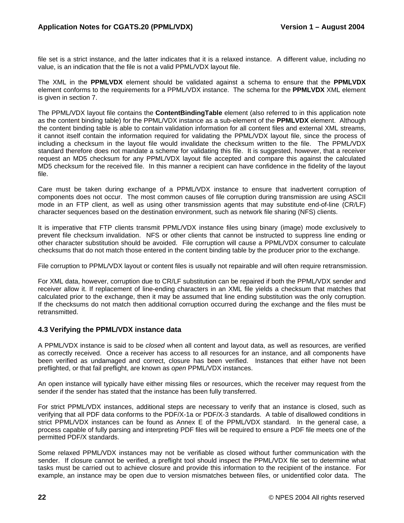file set is a strict instance, and the latter indicates that it is a relaxed instance. A different value, including no value, is an indication that the file is not a valid PPML/VDX layout file.

The XML in the **PPMLVDX** element should be validated against a schema to ensure that the **PPMLVDX** element conforms to the requirements for a PPML/VDX instance. The schema for the **PPMLVDX** XML element is given in section 7.

The PPML/VDX layout file contains the **ContentBindingTable** element (also referred to in this application note as the content binding table) for the PPML/VDX instance as a sub-element of the **PPMLVDX** element. Although the content binding table is able to contain validation information for all content files and external XML streams, it cannot itself contain the information required for validating the PPML/VDX layout file, since the process of including a checksum in the layout file would invalidate the checksum written to the file. The PPML/VDX standard therefore does not mandate a scheme for validating this file. It is suggested, however, that a receiver request an MD5 checksum for any PPML/VDX layout file accepted and compare this against the calculated MD5 checksum for the received file. In this manner a recipient can have confidence in the fidelity of the layout file.

Care must be taken during exchange of a PPML/VDX instance to ensure that inadvertent corruption of components does not occur. The most common causes of file corruption during transmission are using ASCII mode in an FTP client, as well as using other transmission agents that may substitute end-of-line (CR/LF) character sequences based on the destination environment, such as network file sharing (NFS) clients.

It is imperative that FTP clients transmit PPML/VDX instance files using binary (image) mode exclusively to prevent file checksum invalidation. NFS or other clients that cannot be instructed to suppress line ending or other character substitution should be avoided. File corruption will cause a PPML/VDX consumer to calculate checksums that do not match those entered in the content binding table by the producer prior to the exchange.

File corruption to PPML/VDX layout or content files is usually not repairable and will often require retransmission.

For XML data, however, corruption due to CR/LF substitution can be repaired if both the PPML/VDX sender and receiver allow it. If replacement of line-ending characters in an XML file yields a checksum that matches that calculated prior to the exchange, then it may be assumed that line ending substitution was the only corruption. If the checksums do not match then additional corruption occurred during the exchange and the files must be retransmitted.

### **4.3 Verifying the PPML/VDX instance data**

A PPML/VDX instance is said to be *closed* when all content and layout data, as well as resources, are verified as correctly received. Once a receiver has access to all resources for an instance, and all components have been verified as undamaged and correct, closure has been verified. Instances that either have not been preflighted, or that fail preflight, are known as *open* PPML/VDX instances.

An open instance will typically have either missing files or resources, which the receiver may request from the sender if the sender has stated that the instance has been fully transferred.

For strict PPML/VDX instances, additional steps are necessary to verify that an instance is closed, such as verifying that all PDF data conforms to the PDF/X-1a or PDF/X-3 standards. A table of disallowed conditions in strict PPML/VDX instances can be found as Annex E of the PPML/VDX standard. In the general case, a process capable of fully parsing and interpreting PDF files will be required to ensure a PDF file meets one of the permitted PDF/X standards.

Some relaxed PPML/VDX instances may not be verifiable as closed without further communication with the sender. If closure cannot be verified, a preflight tool should inspect the PPML/VDX file set to determine what tasks must be carried out to achieve closure and provide this information to the recipient of the instance. For example, an instance may be open due to version mismatches between files, or unidentified color data. The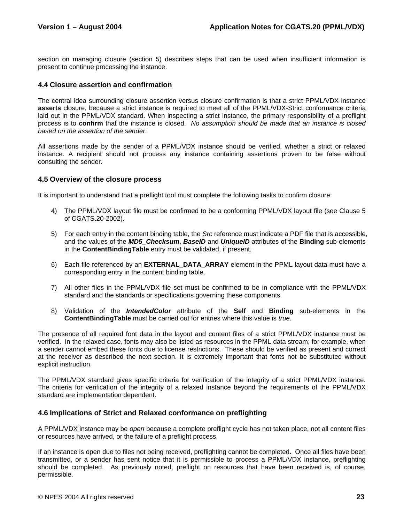section on managing closure (section 5) describes steps that can be used when insufficient information is present to continue processing the instance.

### **4.4 Closure assertion and confirmation**

The central idea surrounding closure assertion versus closure confirmation is that a strict PPML/VDX instance **asserts** closure, because a strict instance is required to meet all of the PPML/VDX-Strict conformance criteria laid out in the PPML/VDX standard. When inspecting a strict instance, the primary responsibility of a preflight process is to **confirm** that the instance is closed. *No assumption should be made that an instance is closed based on the assertion of the sender*.

All assertions made by the sender of a PPML/VDX instance should be verified, whether a strict or relaxed instance. A recipient should not process any instance containing assertions proven to be false without consulting the sender.

### **4.5 Overview of the closure process**

It is important to understand that a preflight tool must complete the following tasks to confirm closure:

- 4) The PPML/VDX layout file must be confirmed to be a conforming PPML/VDX layout file (see Clause 5 of CGATS.20-2002).
- 5) For each entry in the content binding table, the *Src* reference must indicate a PDF file that is accessible, and the values of the *MD5\_Checksum*, *BaseID* and *UniqueID* attributes of the **Binding** sub-elements in the **ContentBindingTable** entry must be validated, if present.
- 6) Each file referenced by an **EXTERNAL\_DATA\_ARRAY** element in the PPML layout data must have a corresponding entry in the content binding table.
- 7) All other files in the PPML/VDX file set must be confirmed to be in compliance with the PPML/VDX standard and the standards or specifications governing these components.
- 8) Validation of the *IntendedColor* attribute of the **Self** and **Binding** sub-elements in the **ContentBindingTable** must be carried out for entries where this value is *true*.

The presence of all required font data in the layout and content files of a strict PPML/VDX instance must be verified. In the relaxed case, fonts may also be listed as resources in the PPML data stream; for example, when a sender cannot embed these fonts due to license restrictions. These should be verified as present and correct at the receiver as described the next section. It is extremely important that fonts not be substituted without explicit instruction.

The PPML/VDX standard gives specific criteria for verification of the integrity of a strict PPML/VDX instance. The criteria for verification of the integrity of a relaxed instance beyond the requirements of the PPML/VDX standard are implementation dependent.

### **4.6 Implications of Strict and Relaxed conformance on preflighting**

A PPML/VDX instance may be *open* because a complete preflight cycle has not taken place, not all content files or resources have arrived, or the failure of a preflight process.

If an instance is open due to files not being received, preflighting cannot be completed. Once all files have been transmitted, or a sender has sent notice that it is permissible to process a PPML/VDX instance, preflighting should be completed. As previously noted, preflight on resources that have been received is, of course, permissible.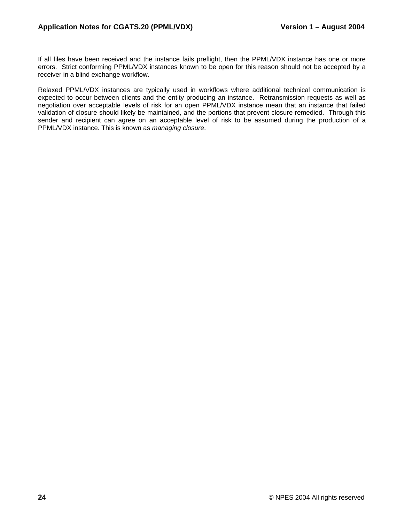If all files have been received and the instance fails preflight, then the PPML/VDX instance has one or more errors. Strict conforming PPML/VDX instances known to be open for this reason should not be accepted by a receiver in a blind exchange workflow.

Relaxed PPML/VDX instances are typically used in workflows where additional technical communication is expected to occur between clients and the entity producing an instance. Retransmission requests as well as negotiation over acceptable levels of risk for an open PPML/VDX instance mean that an instance that failed validation of closure should likely be maintained, and the portions that prevent closure remedied. Through this sender and recipient can agree on an acceptable level of risk to be assumed during the production of a PPML/VDX instance. This is known as *managing closure*.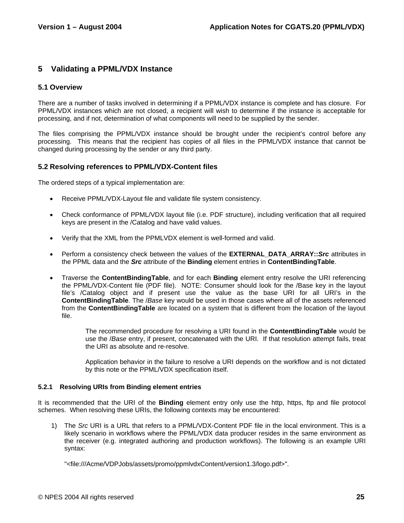### **5 Validating a PPML/VDX Instance**

### **5.1 Overview**

There are a number of tasks involved in determining if a PPML/VDX instance is complete and has closure. For PPML/VDX instances which are not closed, a recipient will wish to determine if the instance is acceptable for processing, and if not, determination of what components will need to be supplied by the sender.

The files comprising the PPML/VDX instance should be brought under the recipient's control before any processing. This means that the recipient has copies of all files in the PPML/VDX instance that cannot be changed during processing by the sender or any third party.

### **5.2 Resolving references to PPML/VDX-Content files**

The ordered steps of a typical implementation are:

- Receive PPML/VDX-Layout file and validate file system consistency.
- Check conformance of PPML/VDX layout file (i.e. PDF structure), including verification that all required keys are present in the /Catalog and have valid values.
- Verify that the XML from the PPMLVDX element is well-formed and valid.
- Perform a consistency check between the values of the **EXTERNAL DATA ARRAY::***Src* attributes in the PPML data and the *Src* attribute of the **Binding** element entries in **ContentBindingTable**.
- Traverse the **ContentBindingTable**, and for each **Binding** element entry resolve the URI referencing the PPML/VDX-Content file (PDF file). NOTE: Consumer should look for the /Base key in the layout file's /Catalog object and if present use the value as the base URI for all URI's in the **ContentBindingTable**. The /*Base* key would be used in those cases where all of the assets referenced from the **ContentBindingTable** are located on a system that is different from the location of the layout file.

The recommended procedure for resolving a URI found in the **ContentBindingTable** would be use the /*Base* entry, if present, concatenated with the URI. If that resolution attempt fails, treat the URI as absolute and re-resolve.

Application behavior in the failure to resolve a URI depends on the workflow and is not dictated by this note or the PPML/VDX specification itself.

### **5.2.1 Resolving URIs from Binding element entries**

It is recommended that the URI of the **Binding** element entry only use the http, https, ftp and file protocol schemes. When resolving these URIs, the following contexts may be encountered:

1) The *Src* URI is a URL that refers to a PPML/VDX-Content PDF file in the local environment. This is a likely scenario in workflows where the PPML/VDX data producer resides in the same environment as the receiver (e.g. integrated authoring and production workflows). The following is an example URI syntax:

"<file:///Acme/VDPJobs/assets/promo/ppmlvdxContent/version1.3/logo.pdf>".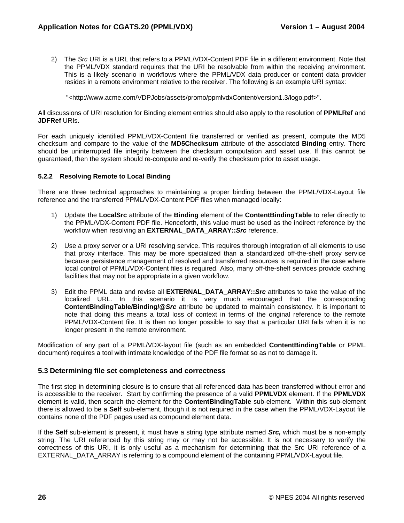2) The *Src* URI is a URL that refers to a PPML/VDX-Content PDF file in a different environment. Note that the PPML/VDX standard requires that the URI be resolvable from within the receiving environment. This is a likely scenario in workflows where the PPML/VDX data producer or content data provider resides in a remote environment relative to the receiver. The following is an example URI syntax:

"<http://www.acme.com/VDPJobs/assets/promo/ppmlvdxContent/version1.3/logo.pdf>".

All discussions of URI resolution for Binding element entries should also apply to the resolution of **PPMLRef** and **JDFRef** URIs.

For each uniquely identified PPML/VDX-Content file transferred or verified as present, compute the MD5 checksum and compare to the value of the **MD5Checksum** attribute of the associated **Binding** entry. There should be uninterrupted file integrity between the checksum computation and asset use. If this cannot be guaranteed, then the system should re-compute and re-verify the checksum prior to asset usage.

### **5.2.2 Resolving Remote to Local Binding**

There are three technical approaches to maintaining a proper binding between the PPML/VDX-Layout file reference and the transferred PPML/VDX-Content PDF files when managed locally:

- 1) Update the **LocalSrc** attribute of the **Binding** element of the **ContentBindingTable** to refer directly to the PPML/VDX-Content PDF file. Henceforth, this value must be used as the indirect reference by the workflow when resolving an **EXTERNAL\_DATA\_ARRAY::***Src* reference.
- 2) Use a proxy server or a URI resolving service. This requires thorough integration of all elements to use that proxy interface. This may be more specialized than a standardized off-the-shelf proxy service because persistence management of resolved and transferred resources is required in the case where local control of PPML/VDX-Content files is required. Also, many off-the-shelf services provide caching facilities that may not be appropriate in a given workflow.
- 3) Edit the PPML data and revise all **EXTERNAL\_DATA\_ARRAY::***Src* attributes to take the value of the localized URL. In this scenario it is very much encouraged that the corresponding **ContentBindingTable/Binding/@***Src* attribute be updated to maintain consistency. It is important to note that doing this means a total loss of context in terms of the original reference to the remote PPML/VDX-Content file. It is then no longer possible to say that a particular URI fails when it is no longer present in the remote environment.

Modification of any part of a PPML/VDX-layout file (such as an embedded **ContentBindingTable** or PPML document) requires a tool with intimate knowledge of the PDF file format so as not to damage it.

### **5.3 Determining file set completeness and correctness**

The first step in determining closure is to ensure that all referenced data has been transferred without error and is accessible to the receiver. Start by confirming the presence of a valid **PPMLVDX** element. If the **PPMLVDX** element is valid, then search the element for the **ContentBindingTable** sub-element. Within this sub-element there is allowed to be a **Self** sub-element, though it is not required in the case when the PPML/VDX-Layout file contains none of the PDF pages used as compound element data.

If the **Self** sub-element is present, it must have a string type attribute named *Src,* which must be a non-empty string. The URI referenced by this string may or may not be accessible. It is not necessary to verify the correctness of this URI, it is only useful as a mechanism for determining that the Src URI reference of a EXTERNAL DATA ARRAY is referring to a compound element of the containing PPML/VDX-Layout file.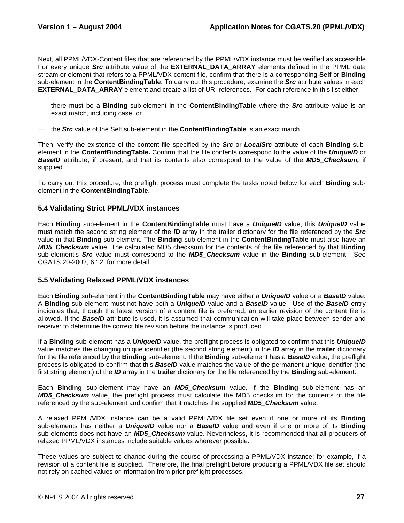Next, all PPML/VDX-Content files that are referenced by the PPML/VDX instance must be verified as accessible. For every unique *Src* attribute value of the **EXTERNAL\_DATA\_ARRAY** elements defined in the PPML data stream or element that refers to a PPML/VDX content file, confirm that there is a corresponding **Self** or **Binding** sub-element in the **ContentBindingTable**. To carry out this procedure, examine the *Src* attribute values in each **EXTERNAL\_DATA\_ARRAY** element and create a list of URI references. For each reference in this list either

- ⎯ there must be a **Binding** sub-element in the **ContentBindingTable** where the *Src* attribute value is an exact match, including case, or
- ⎯ the *Src* value of the Self sub-element in the **ContentBindingTable** is an exact match.

Then, verify the existence of the content file specified by the *Src* or *LocalSrc* attribute of each **Binding** subelement in the **ContentBindingTable.** Confirm that the file contents correspond to the value of the *UniqueID* or *BaseID* attribute, if present, and that its contents also correspond to the value of the *MD5\_Checksum,* if supplied.

To carry out this procedure, the preflight process must complete the tasks noted below for each **Binding** subelement in the **ContentBindingTable**.

### **5.4 Validating Strict PPML/VDX instances**

Each **Binding** sub-element in the **ContentBindingTable** must have a *UniqueID* value; this *UniqueID* value must match the second string element of the *ID* array in the trailer dictionary for the file referenced by the *Src* value in that **Binding** sub-element. The **Binding** sub-element in the **ContentBindingTable** must also have an *MD5\_Checksum* value. The calculated MD5 checksum for the contents of the file referenced by that **Binding** sub-element's *Src* value must correspond to the *MD5\_Checksum* value in the **Binding** sub-element. See CGATS.20-2002, 6.12, for more detail.

### **5.5 Validating Relaxed PPML/VDX instances**

Each **Binding** sub-element in the **ContentBindingTable** may have either a *UniqueID* value or a *BaseID* value. A **Binding** sub-element must not have both a *UniqueID* value and a *BaseID* value. Use of the *BaseID* entry indicates that, though the latest version of a content file is preferred, an earlier revision of the content file is allowed. If the *BaseID* attribute is used, it is assumed that communication will take place between sender and receiver to determine the correct file revision before the instance is produced.

If a **Binding** sub-element has a *UniqueID* value, the preflight process is obligated to confirm that this *UniqueID* value matches the changing unique identifier (the second string element) in the *ID* array in the **trailer** dictionary for the file referenced by the **Binding** sub-element. If the **Binding** sub-element has a *BaseID* value, the preflight process is obligated to confirm that this *BaseID* value matches the value of the permanent unique identifier (the first string element) of the *ID* array in the **trailer** dictionary for the file referenced by the **Binding** sub-element.

Each **Binding** sub-element may have an *MD5\_Checksum* value. If the **Binding** sub-element has an *MD5\_Checksum* value, the preflight process must calculate the MD5 checksum for the contents of the file referenced by the sub-element and confirm that it matches the supplied *MD5\_Checksum* value.

A relaxed PPML/VDX instance can be a valid PPML/VDX file set even if one or more of its **Binding** sub-elements has neither a *UniqueID* value nor a *BaseID* value and even if one or more of its **Binding** sub-elements does not have an **MD5 Checksum** value. Nevertheless, it is recommended that all producers of relaxed PPML/VDX instances include suitable values wherever possible.

These values are subject to change during the course of processing a PPML/VDX instance; for example, if a revision of a content file is supplied. Therefore, the final preflight before producing a PPML/VDX file set should not rely on cached values or information from prior preflight processes.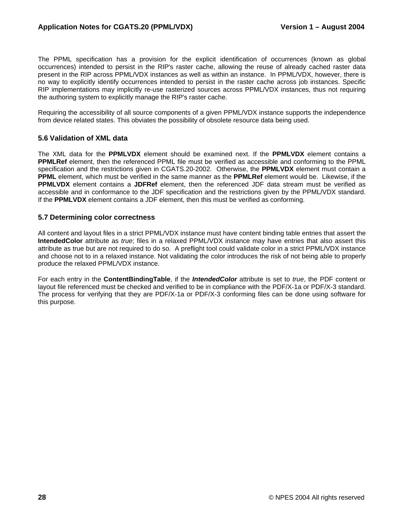The PPML specification has a provision for the explicit identification of occurrences (known as global occurrences) intended to persist in the RIP's raster cache, allowing the reuse of already cached raster data present in the RIP across PPML/VDX instances as well as within an instance. In PPML/VDX, however, there is no way to explicitly identify occurrences intended to persist in the raster cache across job instances. Specific RIP implementations may implicitly re-use rasterized sources across PPML/VDX instances, thus not requiring the authoring system to explicitly manage the RIP's raster cache.

Requiring the accessibility of all source components of a given PPML/VDX instance supports the independence from device related states. This obviates the possibility of obsolete resource data being used.

### **5.6 Validation of XML data**

The XML data for the **PPMLVDX** element should be examined next. If the **PPMLVDX** element contains a **PPMLRef** element, then the referenced PPML file must be verified as accessible and conforming to the PPML specification and the restrictions given in CGATS.20-2002. Otherwise, the **PPMLVDX** element must contain a **PPML** element, which must be verified in the same manner as the **PPMLRef** element would be. Likewise, if the **PPMLVDX** element contains a **JDFRef** element, then the referenced JDF data stream must be verified as accessible and in conformance to the JDF specification and the restrictions given by the PPML/VDX standard. If the **PPMLVDX** element contains a JDF element, then this must be verified as conforming.

### **5.7 Determining color correctness**

All content and layout files in a strict PPML/VDX instance must have content binding table entries that assert the **IntendedColor** attribute as *true*; files in a relaxed PPML/VDX instance may have entries that also assert this attribute as true but are not required to do so. A preflight tool could validate color in a strict PPML/VDX instance and choose not to in a relaxed instance. Not validating the color introduces the risk of not being able to properly produce the relaxed PPML/VDX instance.

For each entry in the **ContentBindingTable**, if the *IntendedColor* attribute is set to *true*, the PDF content or layout file referenced must be checked and verified to be in compliance with the PDF/X-1a or PDF/X-3 standard. The process for verifying that they are PDF/X-1a or PDF/X-3 conforming files can be done using software for this purpose.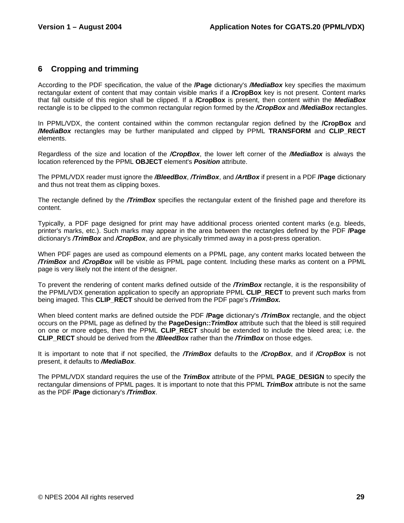### **6 Cropping and trimming**

According to the PDF specification, the value of the **/Page** dictionary's */MediaBox* key specifies the maximum rectangular extent of content that may contain visible marks if a **/CropBox** key is not present. Content marks that fall outside of this region shall be clipped. If a **/CropBox** is present, then content within the *MediaBox* rectangle is to be clipped to the common rectangular region formed by the */CropBox* and */MediaBox* rectangles.

In PPML/VDX, the content contained within the common rectangular region defined by the **/CropBox** and */MediaBox* rectangles may be further manipulated and clipped by PPML **TRANSFORM** and **CLIP\_RECT** elements.

Regardless of the size and location of the */CropBox*, the lower left corner of the */MediaBox* is always the location referenced by the PPML **OBJECT** element's *Position* attribute.

The PPML/VDX reader must ignore the */BleedBox*, */TrimBox*, and */ArtBox* if present in a PDF **/Page** dictionary and thus not treat them as clipping boxes.

The rectangle defined by the */TrimBox* specifies the rectangular extent of the finished page and therefore its content.

Typically, a PDF page designed for print may have additional process oriented content marks (e.g. bleeds, printer's marks, etc.). Such marks may appear in the area between the rectangles defined by the PDF **/Page**  dictionary's */TrimBox* and */CropBox*, and are physically trimmed away in a post-press operation.

When PDF pages are used as compound elements on a PPML page, any content marks located between the */TrimBox* and */CropBox* will be visible as PPML page content. Including these marks as content on a PPML page is very likely not the intent of the designer.

To prevent the rendering of content marks defined outside of the */TrimBox* rectangle, it is the responsibility of the PPML/VDX generation application to specify an appropriate PPML **CLIP\_RECT** to prevent such marks from being imaged. This **CLIP\_RECT** should be derived from the PDF page's */TrimBox.* 

When bleed content marks are defined outside the PDF **/Page** dictionary's */TrimBox* rectangle, and the object occurs on the PPML page as defined by the **PageDesign::***TrimBox* attribute such that the bleed is still required on one or more edges, then the PPML **CLIP\_RECT** should be extended to include the bleed area; i.e. the **CLIP\_RECT** should be derived from the */BleedBox* rather than the */TrimBox* on those edges.

It is important to note that if not specified, the */TrimBox* defaults to the */CropBox*, and if */CropBox* is not present, it defaults to */MediaBox*.

The PPML/VDX standard requires the use of the *TrimBox* attribute of the PPML **PAGE\_DESIGN** to specify the rectangular dimensions of PPML pages. It is important to note that this PPML *TrimBox* attribute is not the same as the PDF **/Page** dictionary's */TrimBox*.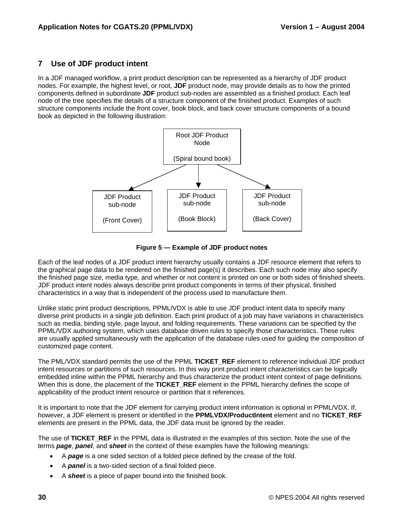### **7 Use of JDF product intent**

In a JDF managed workflow, a print product description can be represented as a hierarchy of JDF product nodes. For example, the highest level, or root, **JDF** product node, may provide details as to how the printed components defined in subordinate **JDF** product sub-nodes are assembled as a finished product. Each leaf node of the tree specifies the details of a structure component of the finished product. Examples of such structure components include the front cover, book block, and back cover structure components of a bound book as depicted in the following illustration:



**Figure 5 — Example of JDF product notes** 

Each of the leaf nodes of a JDF product intent hierarchy usually contains a JDF resource element that refers to the graphical page data to be rendered on the finished page(s) it describes. Each such node may also specify the finished page size, media type, and whether or not content is printed on one or both sides of finished sheets. JDF product intent nodes always describe print product components in terms of their physical, finished characteristics in a way that is independent of the process used to manufacture them.

Unlike static print product descriptions, PPML/VDX is able to use JDF product intent data to specify many diverse print products in a single job definition. Each print product of a job may have variations in characteristics such as media, binding style, page layout, and folding requirements. These variations can be specified by the PPML/VDX authoring system, which uses database driven rules to specify those characteristics. These rules are usually applied simultaneously with the application of the database rules used for guiding the composition of customized page content.

The PML/VDX standard permits the use of the PPML **TICKET\_REF** element to reference individual JDF product intent resources or partitions of such resources. In this way print product intent characteristics can be logically embedded inline within the PPML hierarchy and thus characterize the product intent context of page definitions. When this is done, the placement of the **TICKET** REF element in the PPML hierarchy defines the scope of applicability of the product intent resource or partition that it references.

It is important to note that the JDF element for carrying product intent information is optional in PPML/VDX. If, however, a JDF element is present or identified in the **PPMLVDX/ProductIntent** element and no **TICKET\_REF** elements are present in the PPML data, the JDF data must be ignored by the reader.

The use of **TICKET\_REF** in the PPML data is illustrated in the examples of this section. Note the use of the terms *page*, *panel*, and *sheet* in the context of these examples have the following meanings:

- A *page* is a one sided section of a folded piece defined by the crease of the fold.
- A *panel* is a two-sided section of a final folded piece.
- A *sheet* is a piece of paper bound into the finished book.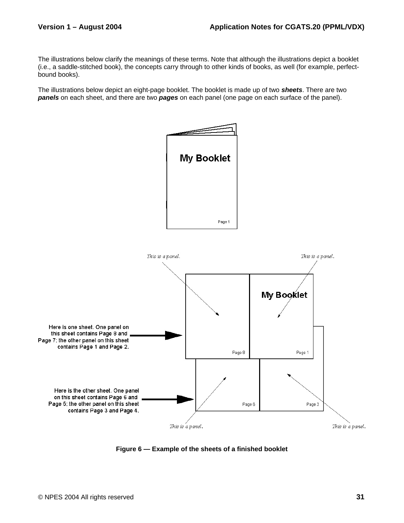The illustrations below clarify the meanings of these terms. Note that although the illustrations depict a booklet (i.e., a saddle-stitched book), the concepts carry through to other kinds of books, as well (for example, perfectbound books).

The illustrations below depict an eight-page booklet. The booklet is made up of two *sheets*. There are two *panels* on each sheet, and there are two *pages* on each panel (one page on each surface of the panel).



**Figure 6 — Example of the sheets of a finished booklet**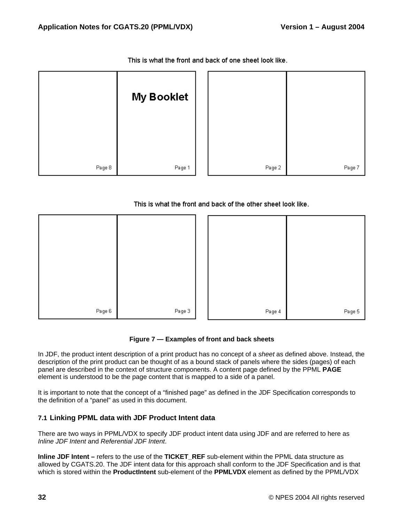|        | <b>My Booklet</b> |        |        |
|--------|-------------------|--------|--------|
| Page 8 | Page 1            | Page 2 | Page 7 |

This is what the front and back of one sheet look like.

### This is what the front and back of the other sheet look like.



### **Figure 7 — Examples of front and back sheets**

In JDF, the product intent description of a print product has no concept of a *sheet* as defined above. Instead, the description of the print product can be thought of as a bound stack of panels where the sides (pages) of each panel are described in the context of structure components. A content page defined by the PPML **PAGE** element is understood to be the page content that is mapped to a side of a panel.

It is important to note that the concept of a "finished page" as defined in the JDF Specification corresponds to the definition of a "panel" as used in this document.

### **7.1 Linking PPML data with JDF Product Intent data**

There are two ways in PPML/VDX to specify JDF product intent data using JDF and are referred to here as *Inline JDF Intent* and *Referential JDF Intent*.

**Inline JDF Intent –** refers to the use of the **TICKET** REF sub-element within the PPML data structure as allowed by CGATS.20. The JDF intent data for this approach shall conform to the JDF Specification and is that which is stored within the **ProductIntent** sub-element of the **PPMLVDX** element as defined by the PPML/VDX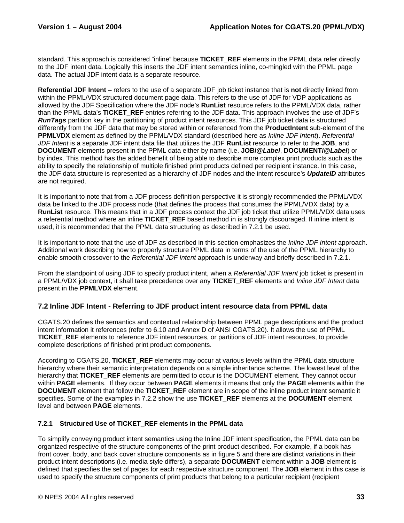standard. This approach is considered "inline" because **TICKET\_REF** elements in the PPML data refer directly to the JDF intent data. Logically this inserts the JDF intent semantics inline, co-mingled with the PPML page data. The actual JDF intent data is a separate resource.

**Referential JDF Intent** – refers to the use of a separate JDF job ticket instance that is **not** directly linked from within the PPML/VDX structured document page data. This refers to the use of JDF for VDP applications as allowed by the JDF Specification where the JDF node's **RunList** resource refers to the PPML/VDX data, rather than the PPML data's **TICKET\_REF** entries referring to the JDF data. This approach involves the use of JDF's *RunTags* partition key in the partitioning of product intent resources. This JDF job ticket data is structured differently from the JDF data that may be stored within or referenced from the **ProductIntent** sub-element of the **PPMLVDX** element as defined by the PPML/VDX standard (described here as *Inline JDF Intent*). *Referential JDF Intent* is a separate JDF intent data file that utilizes the JDF **RunList** resource to refer to the **JOB**, and **DOCUMENT** elements present in the PPML data either by name (i.e. **JOB/@***Label*, **DOCUMENT/@***Label*) or by index. This method has the added benefit of being able to describe more complex print products such as the ability to specify the relationship of multiple finished print products defined per recipient instance. In this case, the JDF data structure is represented as a hierarchy of JDF nodes and the intent resource's *UpdateID* attributes are not required.

It is important to note that from a JDF process definition perspective it is strongly recommended the PPML/VDX data be linked to the JDF process node (that defines the process that consumes the PPML/VDX data) by a **RunList** resource. This means that in a JDF process context the JDF job ticket that utilize PPML/VDX data uses a referential method where an inline **TICKET** REF based method in is strongly discouraged. If inline intent is used, it is recommended that the PPML data structuring as described in 7.2.1 be used.

It is important to note that the use of JDF as described in this section emphasizes the *Inline JDF Intent* approach. Additional work describing how to properly structure PPML data in terms of the use of the PPML hierarchy to enable smooth crossover to the *Referential JDF Intent* approach is underway and briefly described in 7.2.1.

From the standpoint of using JDF to specify product intent, when a *Referential JDF Intent* job ticket is present in a PPML/VDX job context, it shall take precedence over any **TICKET\_REF** elements and *Inline JDF Intent* data present in the **PPMLVDX** element.

### **7.2 Inline JDF Intent - Referring to JDF product intent resource data from PPML data**

CGATS.20 defines the semantics and contextual relationship between PPML page descriptions and the product intent information it references (refer to 6.10 and Annex D of ANSI CGATS.20). It allows the use of PPML **TICKET\_REF** elements to reference JDF intent resources, or partitions of JDF intent resources, to provide complete descriptions of finished print product components.

According to CGATS.20, **TICKET\_REF** elements may occur at various levels within the PPML data structure hierarchy where their semantic interpretation depends on a simple inheritance scheme. The lowest level of the hierarchy that **TICKET\_REF** elements are permitted to occur is the DOCUMENT element. They cannot occur within **PAGE** elements. If they occur between **PAGE** elements it means that only the **PAGE** elements within the **DOCUMENT** element that follow the **TICKET** REF element are in scope of the inline product intent semantic it specifies. Some of the examples in 7.2.2 show the use **TICKET\_REF** elements at the **DOCUMENT** element level and between **PAGE** elements.

### **7.2.1 Structured Use of TICKET\_REF elements in the PPML data**

To simplify conveying product intent semantics using the Inline JDF intent specification, the PPML data can be organized respective of the structure components of the print product described. For example, if a book has front cover, body, and back cover structure components as in figure 5 and there are distinct variations in their product intent descriptions (i.e. media style differs), a separate **DOCUMENT** element within a **JOB** element is defined that specifies the set of pages for each respective structure component. The **JOB** element in this case is used to specify the structure components of print products that belong to a particular recipient (recipient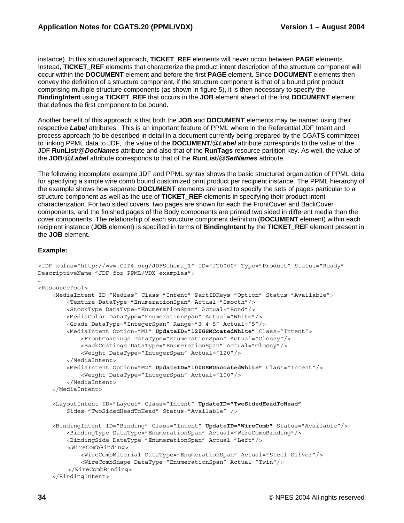instance). In this structured approach, **TICKET\_REF** elements will never occur between **PAGE** elements. Instead, **TICKET\_REF** elements that characterize the product intent description of the structure component will occur within the **DOCUMENT** element and before the first **PAGE** element. Since **DOCUMENT** elements then convey the definition of a structure component, if the structure component is that of a bound print product comprising multiple structure components (as shown in figure 5), it is then necessary to specify the **BindingIntent** using a **TICKET\_REF** that occurs in the **JOB** element ahead of the first **DOCUMENT** element that defines the first component to be bound.

Another benefit of this approach is that both the **JOB** and **DOCUMENT** elements may be named using their respective *Label* attributes. This is an important feature of PPML where in the Referential JDF Intent and process approach (to be described in detail in a document currently being prepared by the CGATS committee) to linking PPML data to JDF, the value of the **DOCUMENT**/@*Label* attribute corresponds to the value of the JDF **RunList**/@*DocNames* attribute and also that of the **RunTags** resource partition key. As well, the value of the **JOB**/@*Label* attribute corresponds to that of the **RunList**/@*SetNames* attribute.

The following incomplete example JDF and PPML syntax shows the basic structured organization of PPML data for specifying a simple wire comb bound customized print product per recipient instance. The PPML hierarchy of the example shows how separate **DOCUMENT** elements are used to specify the sets of pages particular to a structure component as well as the use of **TICKET\_REF** elements in specifying their product intent characterization. For two sided covers, two pages are shown for each the FrontCover and BackCover components, and the finished pages of the Body components are printed two sided in different media than the cover components. The relationship of each structure component definition (**DOCUMENT** element) within each recipient instance (**JOB** element) is specified in terms of **BindingIntent** by the **TICKET\_REF** element present in the **JOB** element.

#### **Example:**

```
<JDF xmlns="http://www.CIP4.org/JDFSchema_1" ID="JT0000" Type="Product" Status="Ready" 
DescriptiveName="JDF for PPML/VDX examples"> 
… 
<ResourcePool> 
     <MediaIntent ID="Medias" Class="Intent" PartIDKeys="Option" Status="Available"> 
         <Texture DataType="EnumerationSpan" Actual="Smooth"/> 
         <StockType DataType="EnumerationSpan" Actual="Bond"/> 
         <MediaColor DataType="EnumerationSpan" Actual="White"/> 
         <Grade DataType="IntegerSpan" Range="3 4 5" Actual="5"/> 
         <MediaIntent Option="M1" UpdateID="120GSMCoatedWhite" Class="Intent"> 
             <FrontCoatings DataType="EnumerationSpan" Actual="Glossy"/> 
             <BackCoatings DataType="EnumerationSpan" Actual="Glossy"/> 
             <Weight DataType="IntegerSpan" Actual="120"/> 
         </MediaIntent> 
         <MediaIntent Option="M2" UpdateID="100GSMUncoatedWhite" Class="Intent"/> 
             <Weight DataType="IntegerSpan" Actual="100"/> 
         </MediaIntent> 
     </MediaIntent> 
     <LayoutIntent ID="Layout" Class="Intent" UpdateID="TwoSidedHeadToHead" 
         Sides="TwoSidedHeadToHead" Status="Available" /> 
     <BindingIntent ID="Binding" Class="Intent" UpdateID="WireComb" Status="Available"/> 
         <BindingType DataType="EnumerationSpan" Actual="WireCombBinding"/> 
         <BindingSide DataType="EnumerationSpan" Actual="Left"/> 
         <WireCombBinding> 
             <WireCombMaterial DataType="EnumerationSpan" Actual="Steel-Silver"/> 
             <WireCombShape DataType="EnumerationSpan" Actual="Twin"/> 
         </WireCombBinding> 
     </BindingIntent>
```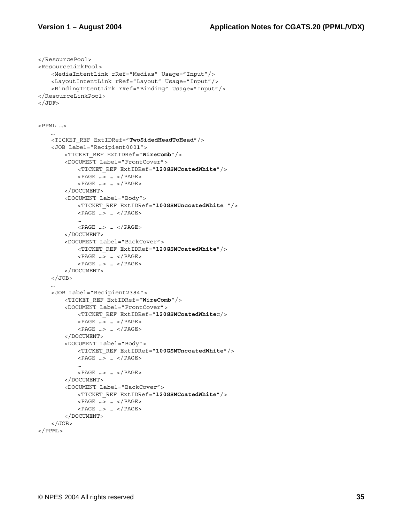```
</ResourcePool> 
<ResourceLinkPool> 
     <MediaIntentLink rRef="Medias" Usage="Input"/> 
     <LayoutIntentLink rRef="Layout" Usage="Input"/> 
     <BindingIntentLink rRef="Binding" Usage="Input"/> 
</ResourceLinkPool> 
</JDF><PPML …> 
 … 
     <TICKET_REF ExtIDRef="TwoSidedHeadToHead"/> 
    <JOB Label="Recipient0001"> 
        <TICKET_REF ExtIDRef="WireComb"/> 
        <DOCUMENT Label="FrontCover"> 
            <TICKET_REF ExtIDRef="120GSMCoatedWhite"/> 
            <PAGE …> … </PAGE> 
            <PAGE …> … </PAGE> 
        </DOCUMENT> 
         <DOCUMENT Label="Body"> 
            <TICKET_REF ExtIDRef="100GSMUncoatedWhite "/> 
            <PAGE …> … </PAGE> 
 … 
            <PAGE …> … </PAGE> 
         </DOCUMENT> 
         <DOCUMENT Label="BackCover"> 
            <TICKET_REF ExtIDRef="120GSMCoatedWhite"/> 
            <PAGE …> … </PAGE> 
            <PAGE …> … </PAGE> 
        </DOCUMENT> 
   </JOB>
 … 
     <JOB Label="Recipient2384"> 
        <TICKET_REF ExtIDRef="WireComb"/> 
        <DOCUMENT Label="FrontCover"> 
            <TICKET_REF ExtIDRef="120GSMCoatedWhitec/> 
            <PAGE …> … </PAGE> 
            <PAGE …> … </PAGE> 
        </DOCUMENT> 
         <DOCUMENT Label="Body"> 
            <TICKET_REF ExtIDRef="100GSMUncoatedWhite"/> 
            <PAGE …> … </PAGE> 
 … 
            <PAGE …> … </PAGE> 
         </DOCUMENT> 
         <DOCUMENT Label="BackCover"> 
            <TICKET_REF ExtIDRef="120GSMCoatedWhite"/> 
            <PAGE …> … </PAGE> 
            <PAGE …> … </PAGE> 
         </DOCUMENT> 
   </JOB>
</PPML>
```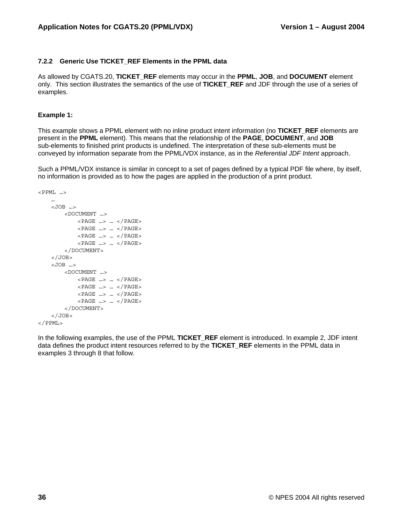### **7.2.2 Generic Use TICKET\_REF Elements in the PPML data**

As allowed by CGATS.20, **TICKET\_REF** elements may occur in the **PPML**, **JOB**, and **DOCUMENT** element only. This section illustrates the semantics of the use of **TICKET\_REF** and JDF through the use of a series of examples.

#### **Example 1:**

This example shows a PPML element with no inline product intent information (no **TICKET\_REF** elements are present in the **PPML** element). This means that the relationship of the **PAGE**, **DOCUMENT**, and **JOB** sub-elements to finished print products is undefined. The interpretation of these sub-elements must be conveyed by information separate from the PPML/VDX instance, as in the *Referential JDF Intent* approach.

Such a PPML/VDX instance is similar in concept to a set of pages defined by a typical PDF file where, by itself, no information is provided as to how the pages are applied in the production of a print product.

```
\langle PPML \ldots … 
     <JOB …> 
         <DOCUMENT …> 
             <PAGE …> … </PAGE> 
             <PAGE …> … </PAGE> 
             <PAGE …> … </PAGE> 
             <PAGE …> … </PAGE> 
         </DOCUMENT> 
    </JOB> <JOB …> 
         <DOCUMENT …> 
             <PAGE …> … </PAGE> 
             <PAGE …> … </PAGE> 
             <PAGE …> … </PAGE> 
             <PAGE …> … </PAGE> 
         </DOCUMENT> 
    </JOB></PPML>
```
In the following examples, the use of the PPML **TICKET\_REF** element is introduced. In example 2, JDF intent data defines the product intent resources referred to by the **TICKET\_REF** elements in the PPML data in examples 3 through 8 that follow.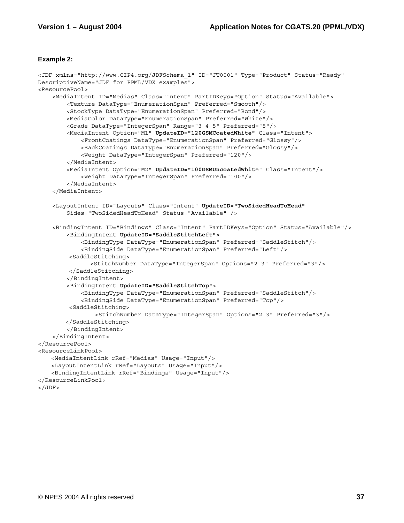#### **Example 2:**

```
<JDF xmlns="http://www.CIP4.org/JDFSchema_1" ID="JT0001" Type="Product" Status="Ready" 
DescriptiveName="JDF for PPML/VDX examples"> 
<ResourcePool> 
     <MediaIntent ID="Medias" Class="Intent" PartIDKeys="Option" Status="Available"> 
         <Texture DataType="EnumerationSpan" Preferred="Smooth"/> 
         <StockType DataType="EnumerationSpan" Preferred="Bond"/> 
         <MediaColor DataType="EnumerationSpan" Preferred="White"/> 
         <Grade DataType="IntegerSpan" Range="3 4 5" Preferred="5"/> 
         <MediaIntent Option="M1" UpdateID="120GSMCoatedWhite" Class="Intent"> 
             <FrontCoatings DataType="EnumerationSpan" Preferred="Glossy"/> 
             <BackCoatings DataType="EnumerationSpan" Preferred="Glossy"/> 
             <Weight DataType="IntegerSpan" Preferred="120"/> 
         </MediaIntent> 
         <MediaIntent Option="M2" UpdateID="100GSMUncoatedWhite" Class="Intent"/> 
             <Weight DataType="IntegerSpan" Preferred="100"/> 
         </MediaIntent> 
     </MediaIntent> 
     <LayoutIntent ID="Layouts" Class="Intent" UpdateID="TwoSidedHeadToHead" 
         Sides="TwoSidedHeadToHead" Status="Available" /> 
     <BindingIntent ID="Bindings" Class="Intent" PartIDKeys="Option" Status="Available"/> 
         <BindingIntent UpdateID="SaddleStitchLeft">
             <BindingType DataType="EnumerationSpan" Preferred="SaddleStitch"/> 
             <BindingSide DataType="EnumerationSpan" Preferred="Left"/> 
          <SaddleStitching> 
                <StitchNumber DataType="IntegerSpan" Options="2 3" Preferred="3"/> 
         </SaddleStitching> 
         </BindingIntent> 
         <BindingIntent UpdateID="SaddleStitchTop"> 
             <BindingType DataType="EnumerationSpan" Preferred="SaddleStitch"/> 
             <BindingSide DataType="EnumerationSpan" Preferred="Top"/> 
          <SaddleStitching> 
                 <StitchNumber DataType="IntegerSpan" Options="2 3" Preferred="3"/> 
         </SaddleStitching> 
         </BindingIntent> 
     </BindingIntent> 
</ResourcePool> 
<ResourceLinkPool> 
    <MediaIntentLink rRef="Medias" Usage="Input"/> 
    <LayoutIntentLink rRef="Layouts" Usage="Input"/> 
    <BindingIntentLink rRef="Bindings" Usage="Input"/> 
</ResourceLinkPool> 
</JDF>
```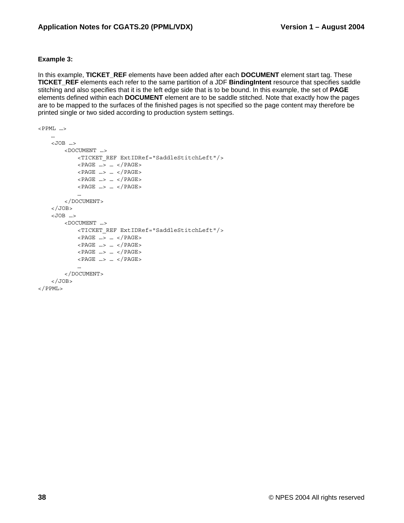#### **Example 3:**

In this example, **TICKET\_REF** elements have been added after each **DOCUMENT** element start tag. These **TICKET\_REF** elements each refer to the same partition of a JDF **BindingIntent** resource that specifies saddle stitching and also specifies that it is the left edge side that is to be bound. In this example, the set of **PAGE** elements defined within each **DOCUMENT** element are to be saddle stitched. Note that exactly how the pages are to be mapped to the surfaces of the finished pages is not specified so the page content may therefore be printed single or two sided according to production system settings.

```
\langle PPML \ldots>
     … 
     <JOB …> 
        <DOCUMENT …> 
            <TICKET_REF ExtIDRef="SaddleStitchLeft"/> 
            <PAGE …> … </PAGE> 
            <PAGE …> … </PAGE> 
            <PAGE …> … </PAGE> 
            <PAGE …> … </PAGE> 
 … 
        </DOCUMENT> 
    </JOB> <JOB …> 
        <DOCUMENT …> 
            <TICKET_REF ExtIDRef="SaddleStitchLeft"/> 
            <PAGE …> … </PAGE> 
            <PAGE …> … </PAGE> 
            <PAGE …> … </PAGE> 
            <PAGE …> … </PAGE> 
 … 
        </DOCUMENT> 
   </JOB></PPML>
```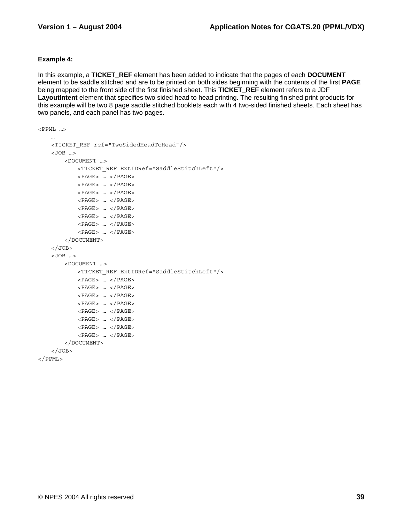### **Example 4:**

In this example, a **TICKET\_REF** element has been added to indicate that the pages of each **DOCUMENT** element to be saddle stitched and are to be printed on both sides beginning with the contents of the first **PAGE** being mapped to the front side of the first finished sheet. This **TICKET\_REF** element refers to a JDF **LayoutIntent** element that specifies two sided head to head printing. The resulting finished print products for this example will be two 8 page saddle stitched booklets each with 4 two-sided finished sheets. Each sheet has two panels, and each panel has two pages.

```
\langle PPML \ldots … 
     <TICKET_REF ref="TwoSidedHeadToHead"/> 
     <JOB …> 
         <DOCUMENT …> 
             <TICKET_REF ExtIDRef="SaddleStitchLeft"/> 
            <PAGE> ... </PAGE>
             <PAGE> … </PAGE> 
             <PAGE> … </PAGE> 
             <PAGE> … </PAGE> 
             <PAGE> … </PAGE> 
             <PAGE> … </PAGE> 
             <PAGE> … </PAGE> 
             <PAGE> … </PAGE> 
         </DOCUMENT> 
    </JOB> <JOB …> 
         <DOCUMENT …> 
             <TICKET_REF ExtIDRef="SaddleStitchLeft"/> 
             <PAGE> … </PAGE> 
             <PAGE> … </PAGE> 
             <PAGE> … </PAGE> 
             <PAGE> … </PAGE> 
             <PAGE> … </PAGE> 
             <PAGE> … </PAGE> 
             <PAGE> … </PAGE> 
             <PAGE> … </PAGE> 
         </DOCUMENT> 
    </JOB></PPML>
```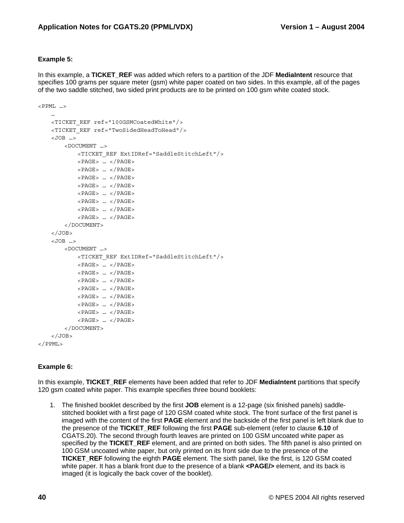### **Example 5:**

In this example, a **TICKET\_REF** was added which refers to a partition of the JDF **MediaIntent** resource that specifies 100 grams per square meter (gsm) white paper coated on two sides. In this example, all of the pages of the two saddle stitched, two sided print products are to be printed on 100 gsm white coated stock.

```
<PPML …> 
 … 
     <TICKET_REF ref="100GSMCoatedWhite"/> 
     <TICKET_REF ref="TwoSidedHeadToHead"/> 
    <JOB \rightarrow <DOCUMENT …> 
             <TICKET_REF ExtIDRef="SaddleStitchLeft"/> 
            <PAGE> ... </PAGE>
             <PAGE> … </PAGE> 
             <PAGE> … </PAGE> 
             <PAGE> … </PAGE> 
            <PAGE> ... < /PAGE>
             <PAGE> … </PAGE> 
             <PAGE> … </PAGE> 
             <PAGE> … </PAGE> 
         </DOCUMENT> 
    </JOB> <JOB …> 
         <DOCUMENT …> 
             <TICKET_REF ExtIDRef="SaddleStitchLeft"/> 
             <PAGE> … </PAGE> 
             <PAGE> … </PAGE> 
             <PAGE> … </PAGE> 
             <PAGE> … </PAGE> 
             <PAGE> … </PAGE> 
             <PAGE> … </PAGE> 
            <PAGE> ... < /PAGE>
             <PAGE> … </PAGE> 
         </DOCUMENT> 
    </JOB></PPML>
```
### **Example 6:**

In this example, **TICKET** REF elements have been added that refer to JDF **MediaIntent** partitions that specify 120 gsm coated white paper. This example specifies three bound booklets:

1. The finished booklet described by the first **JOB** element is a 12-page (six finished panels) saddlestitched booklet with a first page of 120 GSM coated white stock. The front surface of the first panel is imaged with the content of the first **PAGE** element and the backside of the first panel is left blank due to the presence of the **TICKET\_REF** following the first **PAGE** sub-element (refer to clause **6.10** of CGATS.20). The second through fourth leaves are printed on 100 GSM uncoated white paper as specified by the **TICKET\_REF** element, and are printed on both sides. The fifth panel is also printed on 100 GSM uncoated white paper, but only printed on its front side due to the presence of the **TICKET\_REF** following the eighth **PAGE** element. The sixth panel, like the first, is 120 GSM coated white paper. It has a blank front due to the presence of a blank **<PAGE/>** element, and its back is imaged (it is logically the back cover of the booklet).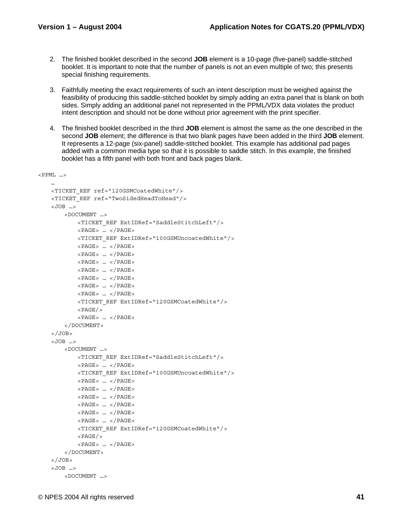- 2. The finished booklet described in the second **JOB** element is a 10-page (five-panel) saddle-stitched booklet. It is important to note that the number of panels is not an even multiple of two; this presents special finishing requirements.
- 3. Faithfully meeting the exact requirements of such an intent description must be weighed against the feasibility of producing this saddle-stitched booklet by simply adding an extra panel that is blank on both sides. Simply adding an additional panel not represented in the PPML/VDX data violates the product intent description and should not be done without prior agreement with the print specifier.
- 4. The finished booklet described in the third **JOB** element is almost the same as the one described in the second **JOB** element; the difference is that two blank pages have been added in the third **JOB** element. It represents a 12-page (six-panel) saddle-stitched booklet. This example has additional pad pages added with a common media type so that it is possible to saddle stitch. In this example, the finished booklet has a fifth panel with both front and back pages blank.

```
\langle PPML \ldots … 
     <TICKET_REF ref="120GSMCoatedWhite"/> 
     <TICKET_REF ref="TwoSidedHeadToHead"/> 
     <JOB …> 
         <DOCUMENT …> 
             <TICKET_REF ExtIDRef="SaddleStitchLeft"/> 
             <PAGE> … </PAGE> 
             <TICKET_REF ExtIDRef="100GSMUncoatedWhite"/> 
             <PAGE> … </PAGE> 
             <PAGE> … </PAGE> 
             <PAGE> … </PAGE> 
             <PAGE> … </PAGE> 
             <PAGE> … </PAGE> 
             <PAGE> … </PAGE> 
             <PAGE> … </PAGE> 
             <TICKET_REF ExtIDRef="120GSMCoatedWhite"/> 
            <PAGE/><PAGE> ... < / PAGE>
         </DOCUMENT> 
    </JOB> <JOB …> 
         <DOCUMENT …> 
             <TICKET_REF ExtIDRef="SaddleStitchLeft"/> 
             <PAGE> … </PAGE> 
             <TICKET_REF ExtIDRef="100GSMUncoatedWhite"/> 
             <PAGE> … </PAGE> 
             <PAGE> … </PAGE> 
             <PAGE> … </PAGE> 
             <PAGE> … </PAGE> 
             <PAGE> … </PAGE> 
             <PAGE> … </PAGE> 
             <TICKET_REF ExtIDRef="120GSMCoatedWhite"/> 
            <PAGE/><PAGE> ... < /PAGE>
         </DOCUMENT> 
    </JOB> <JOB …> 
         <DOCUMENT …>
```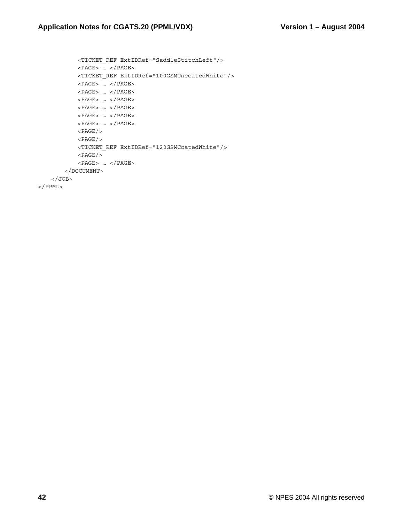```
 <TICKET_REF ExtIDRef="SaddleStitchLeft"/> 
            <PAGE> … </PAGE> 
            <TICKET_REF ExtIDRef="100GSMUncoatedWhite"/> 
            <PAGE> … </PAGE> 
            <PAGE> … </PAGE> 
            <PAGE> … </PAGE> 
            <PAGE> … </PAGE> 
            <PAGE> … </PAGE> 
            <PAGE> … </PAGE> 
           <PAGE/><PAGE/> <TICKET_REF ExtIDRef="120GSMCoatedWhite"/> 
           < PAGE/>< PAGE> \ldots < / PAGE>
         </DOCUMENT> 
    </JOB>
</PPML>
```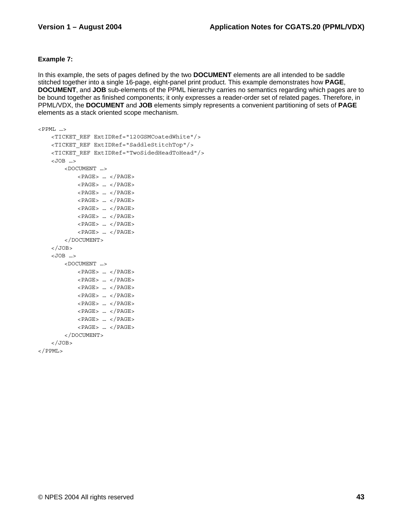### **Example 7:**

In this example, the sets of pages defined by the two **DOCUMENT** elements are all intended to be saddle stitched together into a single 16-page, eight-panel print product. This example demonstrates how **PAGE**, **DOCUMENT**, and **JOB** sub-elements of the PPML hierarchy carries no semantics regarding which pages are to be bound together as finished components; it only expresses a reader-order set of related pages. Therefore, in PPML/VDX, the **DOCUMENT** and **JOB** elements simply represents a convenient partitioning of sets of **PAGE** elements as a stack oriented scope mechanism.

```
\langle PPML \ldots <TICKET_REF ExtIDRef="120GSMCoatedWhite"/> 
     <TICKET_REF ExtIDRef="SaddleStitchTop"/> 
     <TICKET_REF ExtIDRef="TwoSidedHeadToHead"/> 
     <JOB …> 
         <DOCUMENT …> 
            <PAGE> ... </PAGE>
             <PAGE> … </PAGE> 
             <PAGE> … </PAGE> 
             <PAGE> … </PAGE> 
             <PAGE> … </PAGE> 
             <PAGE> … </PAGE> 
             <PAGE> … </PAGE> 
             <PAGE> … </PAGE> 
         </DOCUMENT> 
    </JOB> <JOB …> 
         <DOCUMENT …> 
            <PAGE> ... </PAGE>
             <PAGE> … </PAGE> 
             <PAGE> … </PAGE> 
             <PAGE> … </PAGE> 
             <PAGE> … </PAGE> 
             <PAGE> … </PAGE> 
             <PAGE> … </PAGE> 
             <PAGE> … </PAGE> 
         </DOCUMENT> 
    </JOB></PPML>
```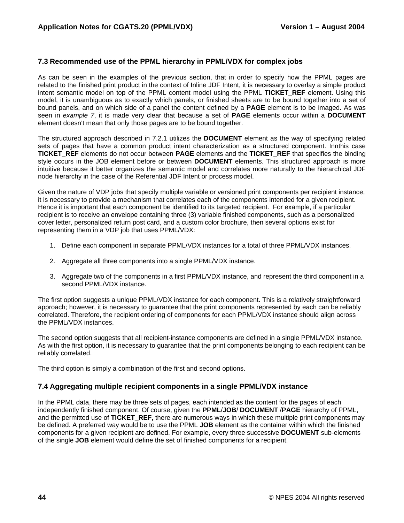### **7.3 Recommended use of the PPML hierarchy in PPML/VDX for complex jobs**

As can be seen in the examples of the previous section, that in order to specify how the PPML pages are related to the finished print product in the context of Inline JDF Intent, it is necessary to overlay a simple product intent semantic model on top of the PPML content model using the PPML **TICKET REF** element. Using this model, it is unambiguous as to exactly which panels, or finished sheets are to be bound together into a set of bound panels, and on which side of a panel the content defined by a **PAGE** element is to be imaged. As was seen in *example 7*, it is made very clear that because a set of **PAGE** elements occur within a **DOCUMENT** element doesn't mean that only those pages are to be bound together.

The structured approach described in 7.2.1 utilizes the **DOCUMENT** element as the way of specifying related sets of pages that have a common product intent characterization as a structured component. Innthis case **TICKET\_REF** elements do not occur between **PAGE** elements and the **TICKET\_REF** that specifies the binding style occurs in the JOB element before or between **DOCUMENT** elements. This structured approach is more intuitive because it better organizes the semantic model and correlates more naturally to the hierarchical JDF node hierarchy in the case of the Referential JDF Intent or process model.

Given the nature of VDP jobs that specify multiple variable or versioned print components per recipient instance, it is necessary to provide a mechanism that correlates each of the components intended for a given recipient. Hence it is important that each component be identified to its targeted recipient. For example, if a particular recipient is to receive an envelope containing three (3) variable finished components, such as a personalized cover letter, personalized return post card, and a custom color brochure, then several options exist for representing them in a VDP job that uses PPML/VDX:

- 1. Define each component in separate PPML/VDX instances for a total of three PPML/VDX instances.
- 2. Aggregate all three components into a single PPML/VDX instance.
- 3. Aggregate two of the components in a first PPML/VDX instance, and represent the third component in a second PPML/VDX instance.

The first option suggests a unique PPML/VDX instance for each component. This is a relatively straightforward approach; however, it is necessary to guarantee that the print components represented by each can be reliably correlated. Therefore, the recipient ordering of components for each PPML/VDX instance should align across the PPML/VDX instances.

The second option suggests that all recipient-instance components are defined in a single PPML/VDX instance. As with the first option, it is necessary to guarantee that the print components belonging to each recipient can be reliably correlated.

The third option is simply a combination of the first and second options.

### **7.4 Aggregating multiple recipient components in a single PPML/VDX instance**

In the PPML data, there may be three sets of pages, each intended as the content for the pages of each independently finished component. Of course, given the **PPML**/**JOB**/ **DOCUMENT** /**PAGE** hierarchy of PPML, and the permitted use of **TICKET\_REF,** there are numerous ways in which these multiple print components may be defined. A preferred way would be to use the PPML **JOB** element as the container within which the finished components for a given recipient are defined. For example, every three successive **DOCUMENT** sub-elements of the single **JOB** element would define the set of finished components for a recipient.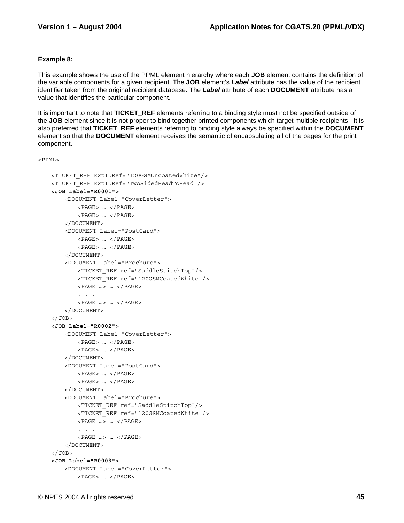### **Example 8:**

This example shows the use of the PPML element hierarchy where each **JOB** element contains the definition of the variable components for a given recipient. The **JOB** element's *Label* attribute has the value of the recipient identifier taken from the original recipient database. The *Label* attribute of each **DOCUMENT** attribute has a value that identifies the particular component.

It is important to note that **TICKET\_REF** elements referring to a binding style must not be specified outside of the **JOB** element since it is not proper to bind together printed components which target multiple recipients. It is also preferred that **TICKET\_REF** elements referring to binding style always be specified within the **DOCUMENT** element so that the **DOCUMENT** element receives the semantic of encapsulating all of the pages for the print component.

```
<PPML>
```

```
 … 
    <TICKET_REF ExtIDRef="120GSMUncoatedWhite"/> 
    <TICKET_REF ExtIDRef="TwoSidedHeadToHead"/> 
    <JOB Label="R0001"> 
         <DOCUMENT Label="CoverLetter"> 
            <PAGE> … </PAGE> 
            <PAGE> … </PAGE> 
        </DOCUMENT> 
         <DOCUMENT Label="PostCard"> 
            <PAGE> … </PAGE> 
             <PAGE> … </PAGE> 
        </DOCUMENT> 
         <DOCUMENT Label="Brochure"> 
            <TICKET_REF ref="SaddleStitchTop"/> 
             <TICKET_REF ref="120GSMCoatedWhite"/> 
            <PAGE …> … </PAGE> 
             . . . 
            <PAGE …> … </PAGE> 
         </DOCUMENT> 
   </JOB> <JOB Label="R0002"> 
         <DOCUMENT Label="CoverLetter"> 
           <PAGE> ... < / PAGE>
            <PAGE> … </PAGE> 
        </DOCUMENT> 
         <DOCUMENT Label="PostCard"> 
            <PAGE> … </PAGE> 
            <PAGE> … </PAGE> 
         </DOCUMENT> 
         <DOCUMENT Label="Brochure"> 
            <TICKET_REF ref="SaddleStitchTop"/> 
            <TICKET_REF ref="120GSMCoatedWhite"/> 
             <PAGE …> … </PAGE> 
             . . . 
             <PAGE …> … </PAGE> 
        </DOCUMENT> 
   </JOB> <JOB Label="R0003"> 
         <DOCUMENT Label="CoverLetter"> 
            <PAGE> … </PAGE>
```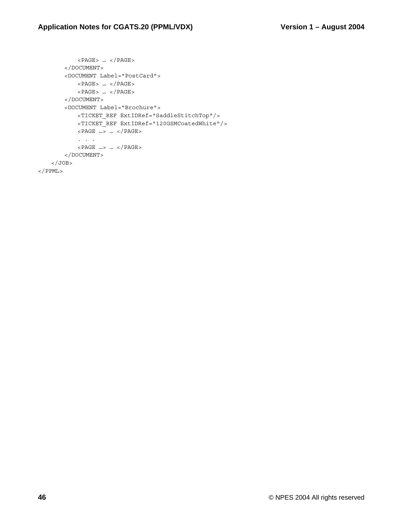```
 <PAGE> … </PAGE> 
        </DOCUMENT> 
         <DOCUMENT Label="PostCard"> 
             <PAGE> … </PAGE> 
             <PAGE> … </PAGE> 
         </DOCUMENT> 
         <DOCUMENT Label="Brochure"> 
             <TICKET_REF ExtIDRef="SaddleStitchTop"/> 
             <TICKET_REF ExtIDRef="120GSMCoatedWhite"/> 
             <PAGE …> … </PAGE> 
             . . . 
             <PAGE …> … </PAGE> 
        </DOCUMENT> 
    </JOB>
</PPML>
```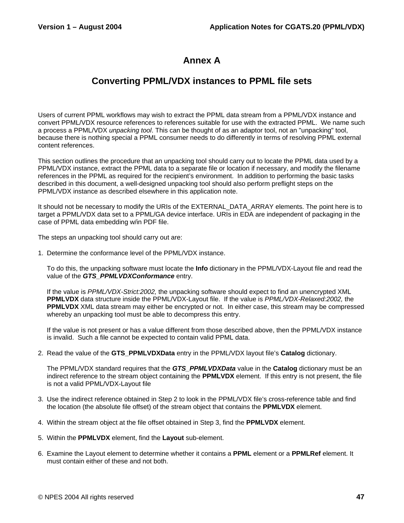# **Annex A**

## **Converting PPML/VDX instances to PPML file sets**

Users of current PPML workflows may wish to extract the PPML data stream from a PPML/VDX instance and convert PPML/VDX resource references to references suitable for use with the extracted PPML. We name such a process a PPML/VDX *unpacking tool*. This can be thought of as an adaptor tool, not an "unpacking" tool, because there is nothing special a PPML consumer needs to do differently in terms of resolving PPML external content references.

This section outlines the procedure that an unpacking tool should carry out to locate the PPML data used by a PPML/VDX instance, extract the PPML data to a separate file or location if necessary, and modify the filename references in the PPML as required for the recipient's environment. In addition to performing the basic tasks described in this document, a well-designed unpacking tool should also perform preflight steps on the PPML/VDX instance as described elsewhere in this application note.

It should not be necessary to modify the URIs of the EXTERNAL\_DATA\_ARRAY elements. The point here is to target a PPML/VDX data set to a PPML/GA device interface. URIs in EDA are independent of packaging in the case of PPML data embedding w/in PDF file.

The steps an unpacking tool should carry out are:

1. Determine the conformance level of the PPML/VDX instance.

To do this, the unpacking software must locate the **Info** dictionary in the PPML/VDX-Layout file and read the value of the *GTS\_PPMLVDXConformance* entry.

If the value is *PPML/VDX-Strict:2002,* the unpacking software should expect to find an unencrypted XML **PPMLVDX** data structure inside the PPML/VDX-Layout file. If the value is *PPML/VDX-Relaxed:2002,* the **PPMLVDX** XML data stream may either be encrypted or not. In either case, this stream may be compressed whereby an unpacking tool must be able to decompress this entry.

If the value is not present or has a value different from those described above, then the PPML/VDX instance is invalid. Such a file cannot be expected to contain valid PPML data.

2. Read the value of the **GTS\_PPMLVDXData** entry in the PPML/VDX layout file's **Catalog** dictionary.

The PPML/VDX standard requires that the *GTS\_PPMLVDXData* value in the **Catalog** dictionary must be an indirect reference to the stream object containing the **PPMLVDX** element. If this entry is not present, the file is not a valid PPML/VDX-Layout file

- 3. Use the indirect reference obtained in Step 2 to look in the PPML/VDX file's cross-reference table and find the location (the absolute file offset) of the stream object that contains the **PPMLVDX** element.
- 4. Within the stream object at the file offset obtained in Step 3, find the **PPMLVDX** element.
- 5. Within the **PPMLVDX** element, find the **Layout** sub-element.
- 6. Examine the Layout element to determine whether it contains a **PPML** element or a **PPMLRef** element. It must contain either of these and not both.